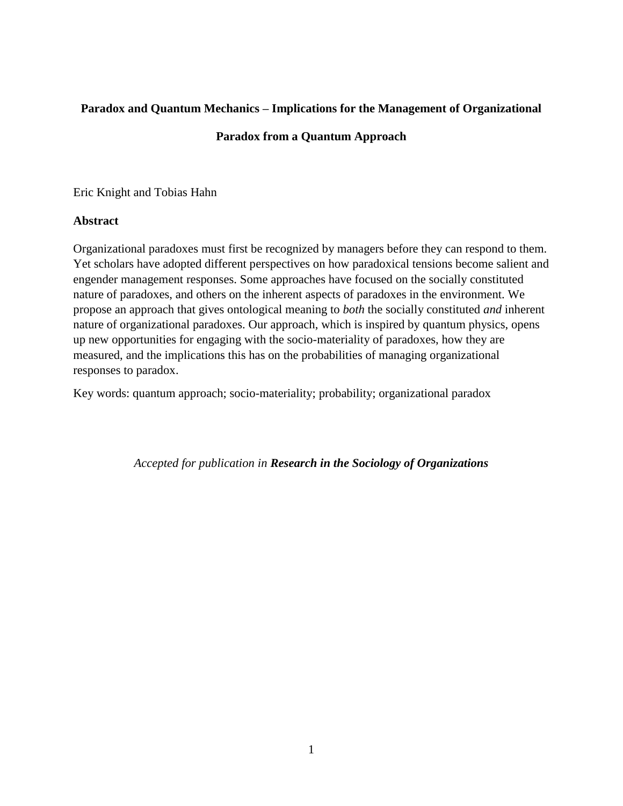# **Paradox and Quantum Mechanics – Implications for the Management of Organizational**

# **Paradox from a Quantum Approach**

Eric Knight and Tobias Hahn

# **Abstract**

Organizational paradoxes must first be recognized by managers before they can respond to them. Yet scholars have adopted different perspectives on how paradoxical tensions become salient and engender management responses. Some approaches have focused on the socially constituted nature of paradoxes, and others on the inherent aspects of paradoxes in the environment. We propose an approach that gives ontological meaning to *both* the socially constituted *and* inherent nature of organizational paradoxes. Our approach, which is inspired by quantum physics, opens up new opportunities for engaging with the socio-materiality of paradoxes, how they are measured, and the implications this has on the probabilities of managing organizational responses to paradox.

Key words: quantum approach; socio-materiality; probability; organizational paradox

*Accepted for publication in Research in the Sociology of Organizations*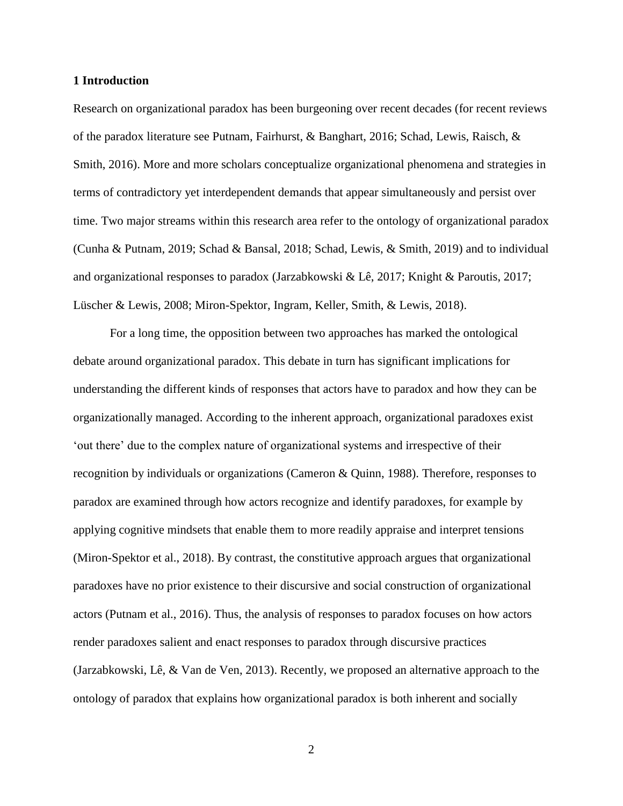#### **1 Introduction**

Research on organizational paradox has been burgeoning over recent decades (for recent reviews of the paradox literature see Putnam, Fairhurst, & Banghart, 2016; Schad, Lewis, Raisch, & Smith, 2016). More and more scholars conceptualize organizational phenomena and strategies in terms of contradictory yet interdependent demands that appear simultaneously and persist over time. Two major streams within this research area refer to the ontology of organizational paradox (Cunha & Putnam, 2019; Schad & Bansal, 2018; Schad, Lewis, & Smith, 2019) and to individual and organizational responses to paradox (Jarzabkowski & Lê, 2017; Knight & Paroutis, 2017; Lüscher & Lewis, 2008; Miron-Spektor, Ingram, Keller, Smith, & Lewis, 2018).

For a long time, the opposition between two approaches has marked the ontological debate around organizational paradox. This debate in turn has significant implications for understanding the different kinds of responses that actors have to paradox and how they can be organizationally managed. According to the inherent approach, organizational paradoxes exist 'out there' due to the complex nature of organizational systems and irrespective of their recognition by individuals or organizations (Cameron & Quinn, 1988). Therefore, responses to paradox are examined through how actors recognize and identify paradoxes, for example by applying cognitive mindsets that enable them to more readily appraise and interpret tensions (Miron-Spektor et al., 2018). By contrast, the constitutive approach argues that organizational paradoxes have no prior existence to their discursive and social construction of organizational actors (Putnam et al., 2016). Thus, the analysis of responses to paradox focuses on how actors render paradoxes salient and enact responses to paradox through discursive practices (Jarzabkowski, Lê, & Van de Ven, 2013). Recently, we proposed an alternative approach to the ontology of paradox that explains how organizational paradox is both inherent and socially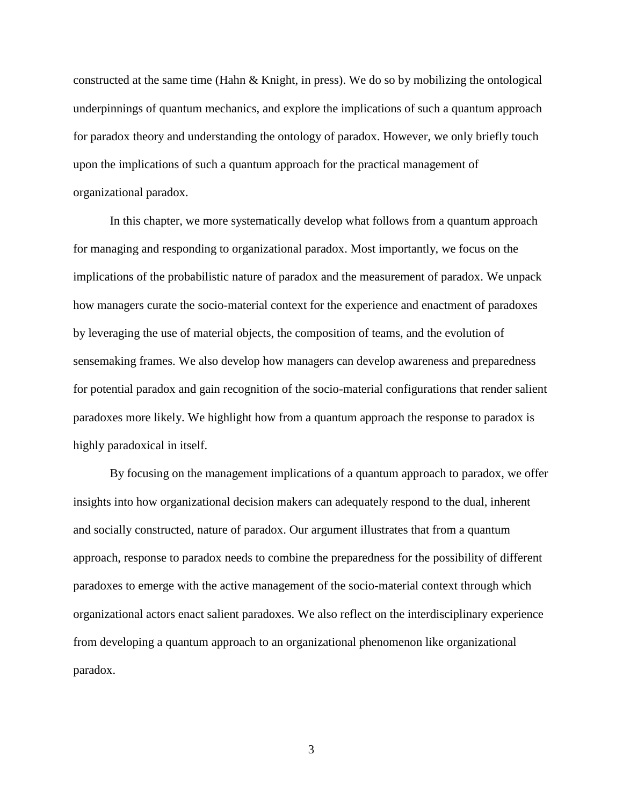constructed at the same time (Hahn & Knight, in press). We do so by mobilizing the ontological underpinnings of quantum mechanics, and explore the implications of such a quantum approach for paradox theory and understanding the ontology of paradox. However, we only briefly touch upon the implications of such a quantum approach for the practical management of organizational paradox.

In this chapter, we more systematically develop what follows from a quantum approach for managing and responding to organizational paradox. Most importantly, we focus on the implications of the probabilistic nature of paradox and the measurement of paradox. We unpack how managers curate the socio-material context for the experience and enactment of paradoxes by leveraging the use of material objects, the composition of teams, and the evolution of sensemaking frames. We also develop how managers can develop awareness and preparedness for potential paradox and gain recognition of the socio-material configurations that render salient paradoxes more likely. We highlight how from a quantum approach the response to paradox is highly paradoxical in itself.

By focusing on the management implications of a quantum approach to paradox, we offer insights into how organizational decision makers can adequately respond to the dual, inherent and socially constructed, nature of paradox. Our argument illustrates that from a quantum approach, response to paradox needs to combine the preparedness for the possibility of different paradoxes to emerge with the active management of the socio-material context through which organizational actors enact salient paradoxes. We also reflect on the interdisciplinary experience from developing a quantum approach to an organizational phenomenon like organizational paradox.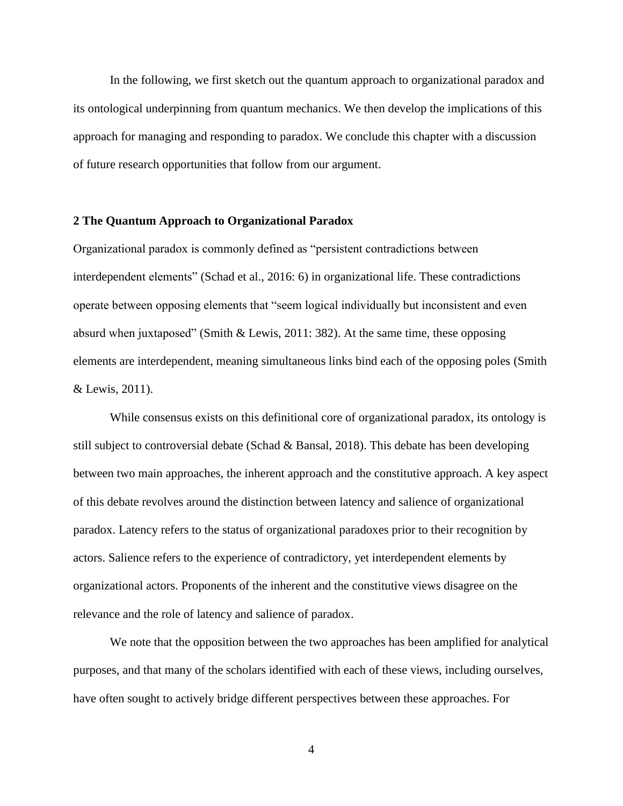In the following, we first sketch out the quantum approach to organizational paradox and its ontological underpinning from quantum mechanics. We then develop the implications of this approach for managing and responding to paradox. We conclude this chapter with a discussion of future research opportunities that follow from our argument.

### **2 The Quantum Approach to Organizational Paradox**

Organizational paradox is commonly defined as "persistent contradictions between interdependent elements" (Schad et al., 2016: 6) in organizational life. These contradictions operate between opposing elements that "seem logical individually but inconsistent and even absurd when juxtaposed" (Smith & Lewis, 2011: 382). At the same time, these opposing elements are interdependent, meaning simultaneous links bind each of the opposing poles (Smith & Lewis, 2011).

While consensus exists on this definitional core of organizational paradox, its ontology is still subject to controversial debate (Schad & Bansal, 2018). This debate has been developing between two main approaches, the inherent approach and the constitutive approach. A key aspect of this debate revolves around the distinction between latency and salience of organizational paradox. Latency refers to the status of organizational paradoxes prior to their recognition by actors. Salience refers to the experience of contradictory, yet interdependent elements by organizational actors. Proponents of the inherent and the constitutive views disagree on the relevance and the role of latency and salience of paradox.

We note that the opposition between the two approaches has been amplified for analytical purposes, and that many of the scholars identified with each of these views, including ourselves, have often sought to actively bridge different perspectives between these approaches. For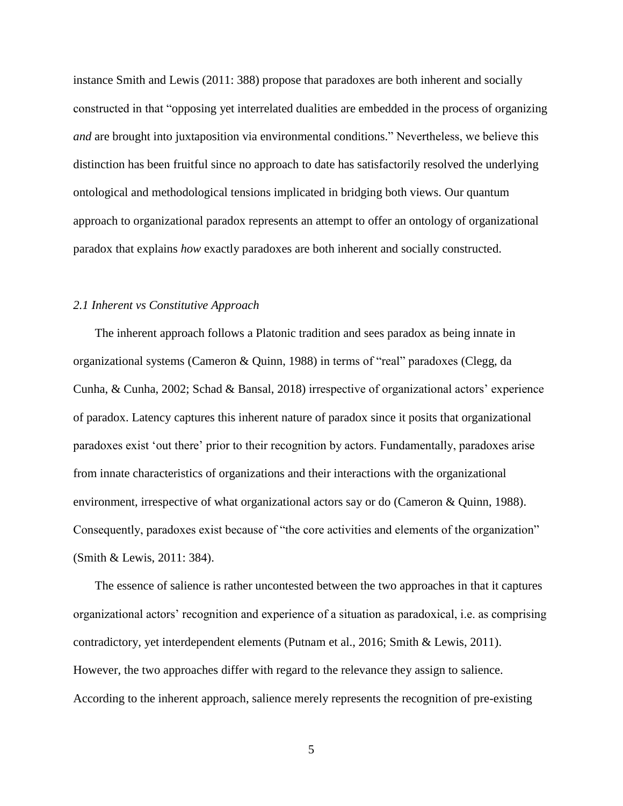instance Smith and Lewis (2011: 388) propose that paradoxes are both inherent and socially constructed in that "opposing yet interrelated dualities are embedded in the process of organizing *and* are brought into juxtaposition via environmental conditions." Nevertheless, we believe this distinction has been fruitful since no approach to date has satisfactorily resolved the underlying ontological and methodological tensions implicated in bridging both views. Our quantum approach to organizational paradox represents an attempt to offer an ontology of organizational paradox that explains *how* exactly paradoxes are both inherent and socially constructed.

# *2.1 Inherent vs Constitutive Approach*

The inherent approach follows a Platonic tradition and sees paradox as being innate in organizational systems (Cameron & Quinn, 1988) in terms of "real" paradoxes (Clegg, da Cunha, & Cunha, 2002; Schad & Bansal, 2018) irrespective of organizational actors' experience of paradox. Latency captures this inherent nature of paradox since it posits that organizational paradoxes exist 'out there' prior to their recognition by actors. Fundamentally, paradoxes arise from innate characteristics of organizations and their interactions with the organizational environment, irrespective of what organizational actors say or do (Cameron & Quinn, 1988). Consequently, paradoxes exist because of "the core activities and elements of the organization" (Smith & Lewis, 2011: 384).

The essence of salience is rather uncontested between the two approaches in that it captures organizational actors' recognition and experience of a situation as paradoxical, i.e. as comprising contradictory, yet interdependent elements (Putnam et al., 2016; Smith & Lewis, 2011). However, the two approaches differ with regard to the relevance they assign to salience. According to the inherent approach, salience merely represents the recognition of pre-existing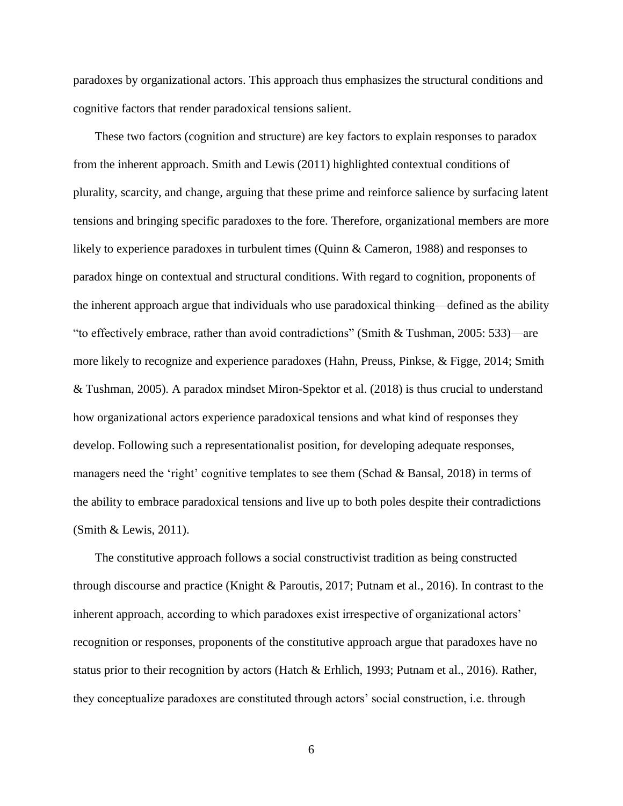paradoxes by organizational actors. This approach thus emphasizes the structural conditions and cognitive factors that render paradoxical tensions salient.

These two factors (cognition and structure) are key factors to explain responses to paradox from the inherent approach. Smith and Lewis (2011) highlighted contextual conditions of plurality, scarcity, and change, arguing that these prime and reinforce salience by surfacing latent tensions and bringing specific paradoxes to the fore. Therefore, organizational members are more likely to experience paradoxes in turbulent times (Quinn & Cameron, 1988) and responses to paradox hinge on contextual and structural conditions. With regard to cognition, proponents of the inherent approach argue that individuals who use paradoxical thinking—defined as the ability "to effectively embrace, rather than avoid contradictions" (Smith & Tushman, 2005: 533)—are more likely to recognize and experience paradoxes (Hahn, Preuss, Pinkse, & Figge, 2014; Smith & Tushman, 2005). A paradox mindset Miron-Spektor et al. (2018) is thus crucial to understand how organizational actors experience paradoxical tensions and what kind of responses they develop. Following such a representationalist position, for developing adequate responses, managers need the 'right' cognitive templates to see them (Schad & Bansal, 2018) in terms of the ability to embrace paradoxical tensions and live up to both poles despite their contradictions (Smith & Lewis, 2011).

The constitutive approach follows a social constructivist tradition as being constructed through discourse and practice (Knight & Paroutis, 2017; Putnam et al., 2016). In contrast to the inherent approach, according to which paradoxes exist irrespective of organizational actors' recognition or responses, proponents of the constitutive approach argue that paradoxes have no status prior to their recognition by actors (Hatch & Erhlich, 1993; Putnam et al., 2016). Rather, they conceptualize paradoxes are constituted through actors' social construction, i.e. through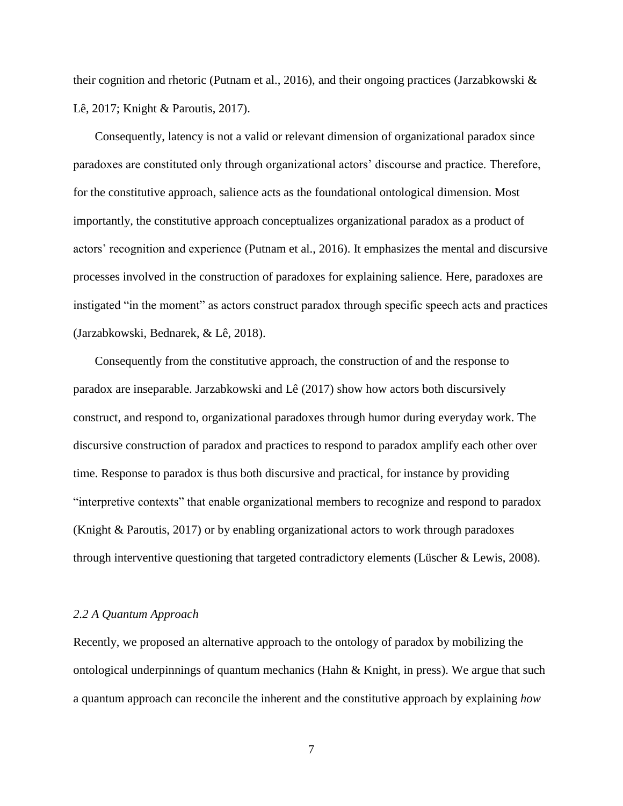their cognition and rhetoric (Putnam et al., 2016), and their ongoing practices (Jarzabkowski & Lê, 2017; Knight & Paroutis, 2017).

Consequently, latency is not a valid or relevant dimension of organizational paradox since paradoxes are constituted only through organizational actors' discourse and practice. Therefore, for the constitutive approach, salience acts as the foundational ontological dimension. Most importantly, the constitutive approach conceptualizes organizational paradox as a product of actors' recognition and experience (Putnam et al., 2016). It emphasizes the mental and discursive processes involved in the construction of paradoxes for explaining salience. Here, paradoxes are instigated "in the moment" as actors construct paradox through specific speech acts and practices (Jarzabkowski, Bednarek, & Lê, 2018).

Consequently from the constitutive approach, the construction of and the response to paradox are inseparable. Jarzabkowski and Lê (2017) show how actors both discursively construct, and respond to, organizational paradoxes through humor during everyday work. The discursive construction of paradox and practices to respond to paradox amplify each other over time. Response to paradox is thus both discursive and practical, for instance by providing "interpretive contexts" that enable organizational members to recognize and respond to paradox (Knight & Paroutis, 2017) or by enabling organizational actors to work through paradoxes through interventive questioning that targeted contradictory elements (Lüscher & Lewis, 2008).

#### *2.2 A Quantum Approach*

Recently, we proposed an alternative approach to the ontology of paradox by mobilizing the ontological underpinnings of quantum mechanics (Hahn  $\&$  Knight, in press). We argue that such a quantum approach can reconcile the inherent and the constitutive approach by explaining *how*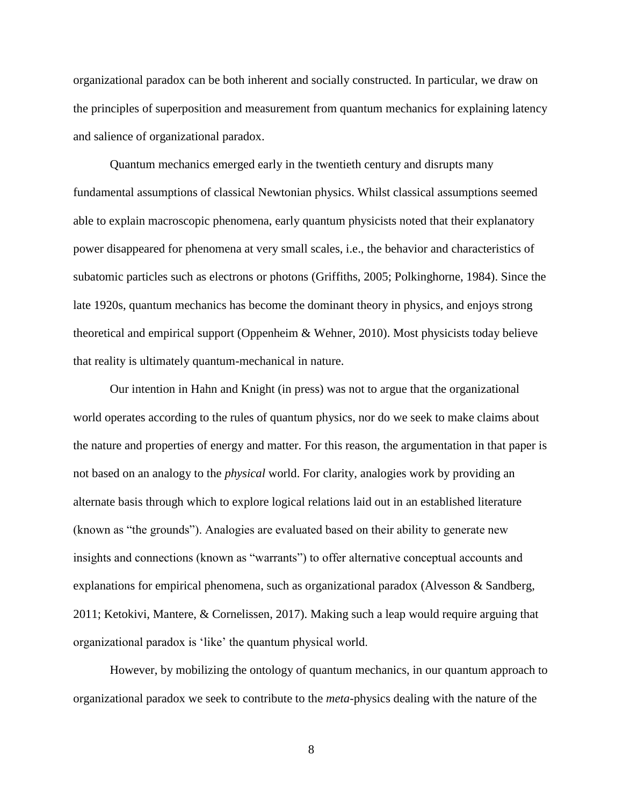organizational paradox can be both inherent and socially constructed. In particular, we draw on the principles of superposition and measurement from quantum mechanics for explaining latency and salience of organizational paradox.

Quantum mechanics emerged early in the twentieth century and disrupts many fundamental assumptions of classical Newtonian physics. Whilst classical assumptions seemed able to explain macroscopic phenomena, early quantum physicists noted that their explanatory power disappeared for phenomena at very small scales, i.e., the behavior and characteristics of subatomic particles such as electrons or photons (Griffiths, 2005; Polkinghorne, 1984). Since the late 1920s, quantum mechanics has become the dominant theory in physics, and enjoys strong theoretical and empirical support (Oppenheim & Wehner, 2010). Most physicists today believe that reality is ultimately quantum-mechanical in nature.

Our intention in Hahn and Knight (in press) was not to argue that the organizational world operates according to the rules of quantum physics, nor do we seek to make claims about the nature and properties of energy and matter. For this reason, the argumentation in that paper is not based on an analogy to the *physical* world. For clarity, analogies work by providing an alternate basis through which to explore logical relations laid out in an established literature (known as "the grounds"). Analogies are evaluated based on their ability to generate new insights and connections (known as "warrants") to offer alternative conceptual accounts and explanations for empirical phenomena, such as organizational paradox (Alvesson & Sandberg, 2011; Ketokivi, Mantere, & Cornelissen, 2017). Making such a leap would require arguing that organizational paradox is 'like' the quantum physical world.

However, by mobilizing the ontology of quantum mechanics, in our quantum approach to organizational paradox we seek to contribute to the *meta-*physics dealing with the nature of the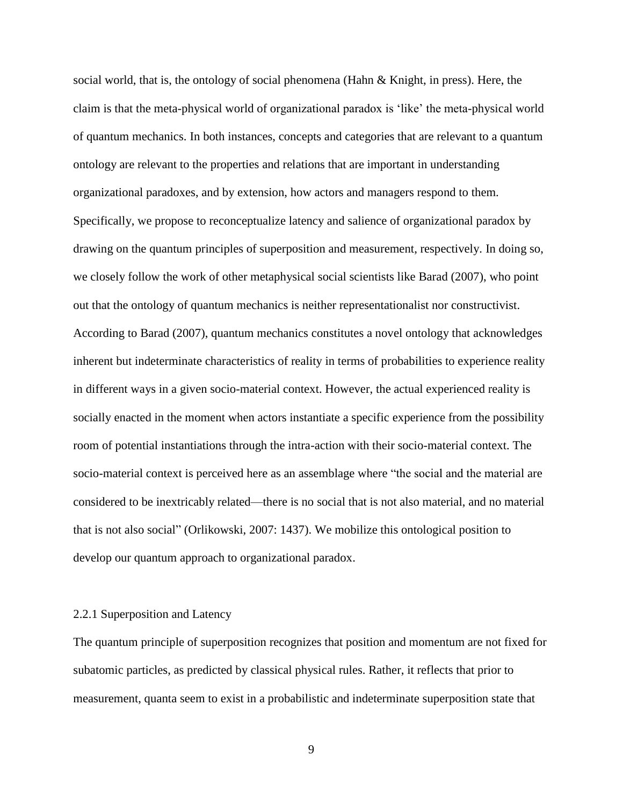social world, that is, the ontology of social phenomena (Hahn & Knight, in press). Here, the claim is that the meta-physical world of organizational paradox is 'like' the meta-physical world of quantum mechanics. In both instances, concepts and categories that are relevant to a quantum ontology are relevant to the properties and relations that are important in understanding organizational paradoxes, and by extension, how actors and managers respond to them. Specifically, we propose to reconceptualize latency and salience of organizational paradox by drawing on the quantum principles of superposition and measurement, respectively. In doing so, we closely follow the work of other metaphysical social scientists like Barad (2007), who point out that the ontology of quantum mechanics is neither representationalist nor constructivist. According to Barad (2007), quantum mechanics constitutes a novel ontology that acknowledges inherent but indeterminate characteristics of reality in terms of probabilities to experience reality in different ways in a given socio-material context. However, the actual experienced reality is socially enacted in the moment when actors instantiate a specific experience from the possibility room of potential instantiations through the intra-action with their socio-material context. The socio-material context is perceived here as an assemblage where "the social and the material are considered to be inextricably related—there is no social that is not also material, and no material that is not also social" (Orlikowski, 2007: 1437). We mobilize this ontological position to develop our quantum approach to organizational paradox.

#### 2.2.1 Superposition and Latency

The quantum principle of superposition recognizes that position and momentum are not fixed for subatomic particles, as predicted by classical physical rules. Rather, it reflects that prior to measurement, quanta seem to exist in a probabilistic and indeterminate superposition state that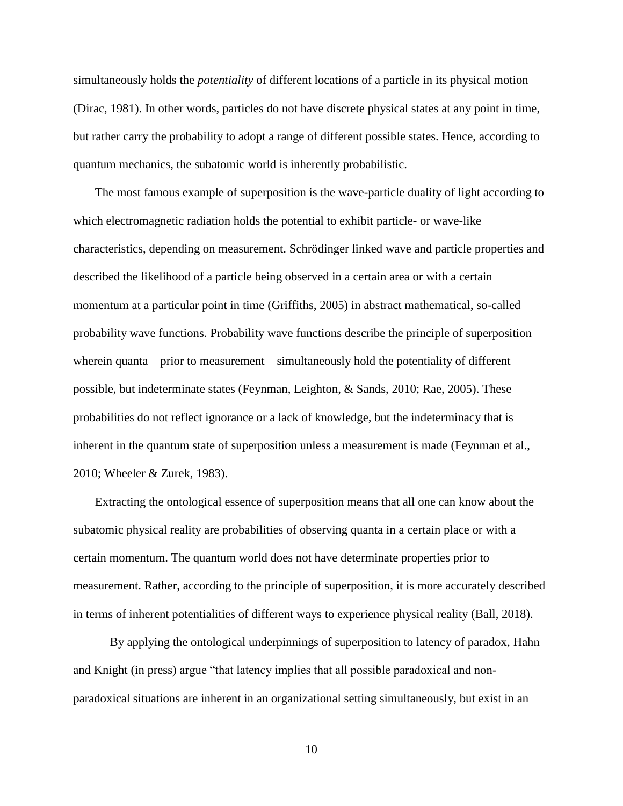simultaneously holds the *potentiality* of different locations of a particle in its physical motion (Dirac, 1981). In other words, particles do not have discrete physical states at any point in time, but rather carry the probability to adopt a range of different possible states. Hence, according to quantum mechanics, the subatomic world is inherently probabilistic.

The most famous example of superposition is the wave-particle duality of light according to which electromagnetic radiation holds the potential to exhibit particle- or wave-like characteristics, depending on measurement. Schrödinger linked wave and particle properties and described the likelihood of a particle being observed in a certain area or with a certain momentum at a particular point in time (Griffiths, 2005) in abstract mathematical, so-called probability wave functions. Probability wave functions describe the principle of superposition wherein quanta—prior to measurement—simultaneously hold the potentiality of different possible, but indeterminate states (Feynman, Leighton, & Sands, 2010; Rae, 2005). These probabilities do not reflect ignorance or a lack of knowledge, but the indeterminacy that is inherent in the quantum state of superposition unless a measurement is made (Feynman et al., 2010; Wheeler & Zurek, 1983).

Extracting the ontological essence of superposition means that all one can know about the subatomic physical reality are probabilities of observing quanta in a certain place or with a certain momentum. The quantum world does not have determinate properties prior to measurement. Rather, according to the principle of superposition, it is more accurately described in terms of inherent potentialities of different ways to experience physical reality (Ball, 2018).

By applying the ontological underpinnings of superposition to latency of paradox, Hahn and Knight (in press) argue "that latency implies that all possible paradoxical and nonparadoxical situations are inherent in an organizational setting simultaneously, but exist in an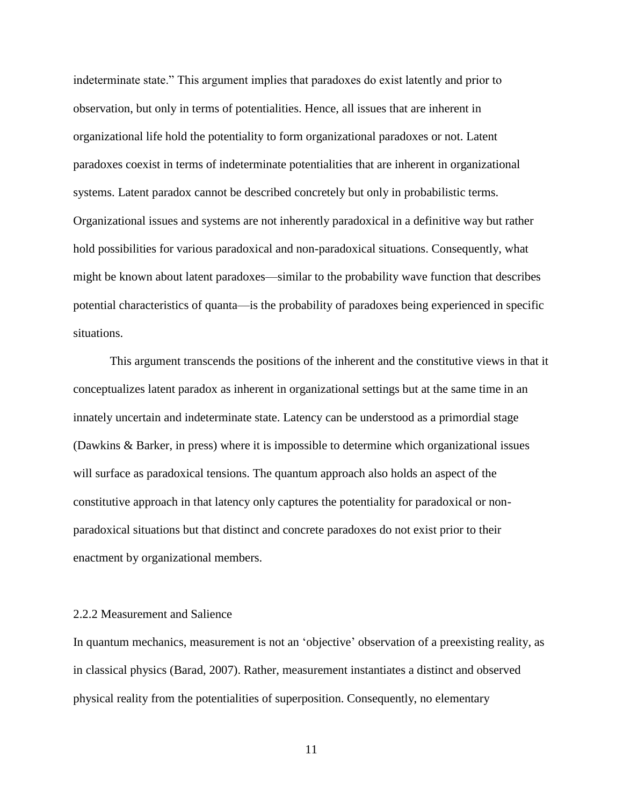indeterminate state." This argument implies that paradoxes do exist latently and prior to observation, but only in terms of potentialities. Hence, all issues that are inherent in organizational life hold the potentiality to form organizational paradoxes or not. Latent paradoxes coexist in terms of indeterminate potentialities that are inherent in organizational systems. Latent paradox cannot be described concretely but only in probabilistic terms. Organizational issues and systems are not inherently paradoxical in a definitive way but rather hold possibilities for various paradoxical and non-paradoxical situations. Consequently, what might be known about latent paradoxes—similar to the probability wave function that describes potential characteristics of quanta—is the probability of paradoxes being experienced in specific situations.

This argument transcends the positions of the inherent and the constitutive views in that it conceptualizes latent paradox as inherent in organizational settings but at the same time in an innately uncertain and indeterminate state. Latency can be understood as a primordial stage (Dawkins & Barker, in press) where it is impossible to determine which organizational issues will surface as paradoxical tensions. The quantum approach also holds an aspect of the constitutive approach in that latency only captures the potentiality for paradoxical or nonparadoxical situations but that distinct and concrete paradoxes do not exist prior to their enactment by organizational members.

## 2.2.2 Measurement and Salience

In quantum mechanics, measurement is not an 'objective' observation of a preexisting reality, as in classical physics (Barad, 2007). Rather, measurement instantiates a distinct and observed physical reality from the potentialities of superposition. Consequently, no elementary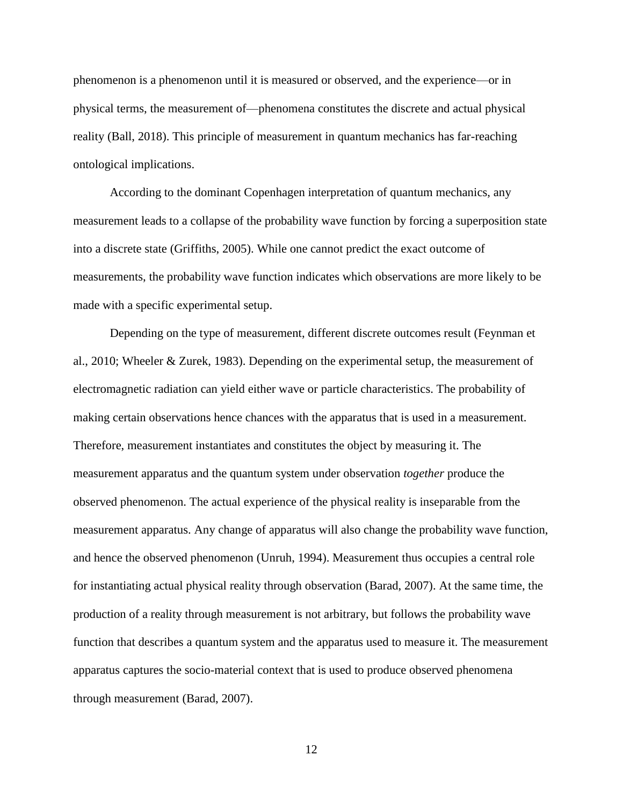phenomenon is a phenomenon until it is measured or observed, and the experience—or in physical terms, the measurement of—phenomena constitutes the discrete and actual physical reality (Ball, 2018). This principle of measurement in quantum mechanics has far-reaching ontological implications.

According to the dominant Copenhagen interpretation of quantum mechanics, any measurement leads to a collapse of the probability wave function by forcing a superposition state into a discrete state (Griffiths, 2005). While one cannot predict the exact outcome of measurements, the probability wave function indicates which observations are more likely to be made with a specific experimental setup.

Depending on the type of measurement, different discrete outcomes result (Feynman et al., 2010; Wheeler & Zurek, 1983). Depending on the experimental setup, the measurement of electromagnetic radiation can yield either wave or particle characteristics. The probability of making certain observations hence chances with the apparatus that is used in a measurement. Therefore, measurement instantiates and constitutes the object by measuring it. The measurement apparatus and the quantum system under observation *together* produce the observed phenomenon. The actual experience of the physical reality is inseparable from the measurement apparatus. Any change of apparatus will also change the probability wave function, and hence the observed phenomenon (Unruh, 1994). Measurement thus occupies a central role for instantiating actual physical reality through observation (Barad, 2007). At the same time, the production of a reality through measurement is not arbitrary, but follows the probability wave function that describes a quantum system and the apparatus used to measure it. The measurement apparatus captures the socio-material context that is used to produce observed phenomena through measurement (Barad, 2007).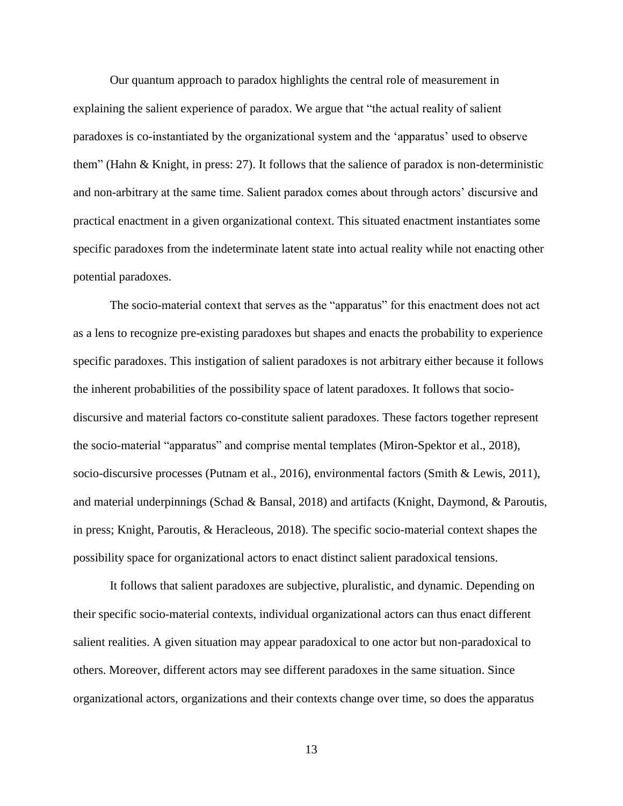Our quantum approach to paradox highlights the central role of measurement in explaining the salient experience of paradox. We argue that "the actual reality of salient paradoxes is co-instantiated by the organizational system and the 'apparatus' used to observe them" (Hahn & Knight, in press: 27). It follows that the salience of paradox is non-deterministic and non-arbitrary at the same time. Salient paradox comes about through actors' discursive and practical enactment in a given organizational context. This situated enactment instantiates some specific paradoxes from the indeterminate latent state into actual reality while not enacting other potential paradoxes.

The socio-material context that serves as the "apparatus" for this enactment does not act as a lens to recognize pre-existing paradoxes but shapes and enacts the probability to experience specific paradoxes. This instigation of salient paradoxes is not arbitrary either because it follows the inherent probabilities of the possibility space of latent paradoxes. It follows that sociodiscursive and material factors co-constitute salient paradoxes. These factors together represent the socio-material "apparatus" and comprise mental templates (Miron-Spektor et al., 2018), socio-discursive processes (Putnam et al., 2016), environmental factors (Smith & Lewis, 2011), and material underpinnings (Schad & Bansal, 2018) and artifacts (Knight, Daymond, & Paroutis, in press; Knight, Paroutis, & Heracleous, 2018). The specific socio-material context shapes the possibility space for organizational actors to enact distinct salient paradoxical tensions.

It follows that salient paradoxes are subjective, pluralistic, and dynamic. Depending on their specific socio-material contexts, individual organizational actors can thus enact different salient realities. A given situation may appear paradoxical to one actor but non-paradoxical to others. Moreover, different actors may see different paradoxes in the same situation. Since organizational actors, organizations and their contexts change over time, so does the apparatus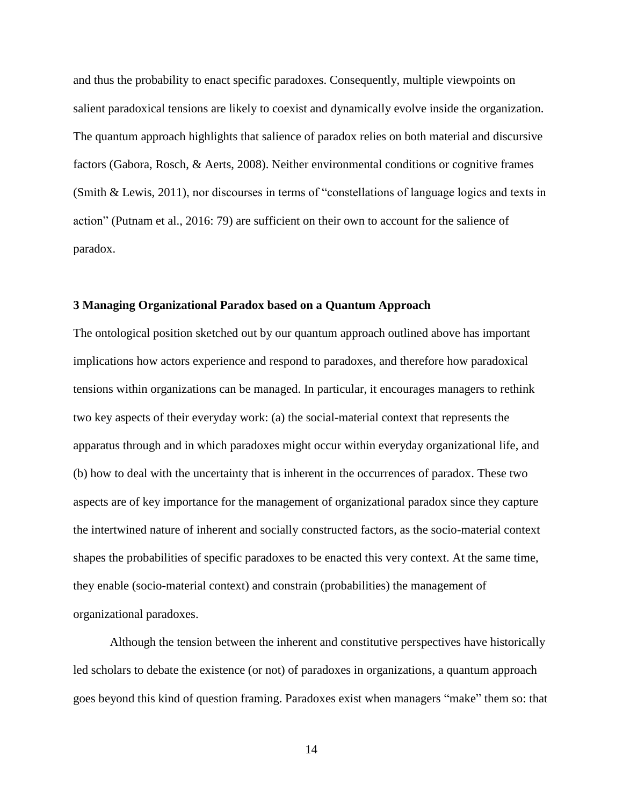and thus the probability to enact specific paradoxes. Consequently, multiple viewpoints on salient paradoxical tensions are likely to coexist and dynamically evolve inside the organization. The quantum approach highlights that salience of paradox relies on both material and discursive factors (Gabora, Rosch, & Aerts, 2008). Neither environmental conditions or cognitive frames (Smith & Lewis, 2011), nor discourses in terms of "constellations of language logics and texts in action" (Putnam et al., 2016: 79) are sufficient on their own to account for the salience of paradox.

## **3 Managing Organizational Paradox based on a Quantum Approach**

The ontological position sketched out by our quantum approach outlined above has important implications how actors experience and respond to paradoxes, and therefore how paradoxical tensions within organizations can be managed. In particular, it encourages managers to rethink two key aspects of their everyday work: (a) the social-material context that represents the apparatus through and in which paradoxes might occur within everyday organizational life, and (b) how to deal with the uncertainty that is inherent in the occurrences of paradox. These two aspects are of key importance for the management of organizational paradox since they capture the intertwined nature of inherent and socially constructed factors, as the socio-material context shapes the probabilities of specific paradoxes to be enacted this very context. At the same time, they enable (socio-material context) and constrain (probabilities) the management of organizational paradoxes.

Although the tension between the inherent and constitutive perspectives have historically led scholars to debate the existence (or not) of paradoxes in organizations, a quantum approach goes beyond this kind of question framing. Paradoxes exist when managers "make" them so: that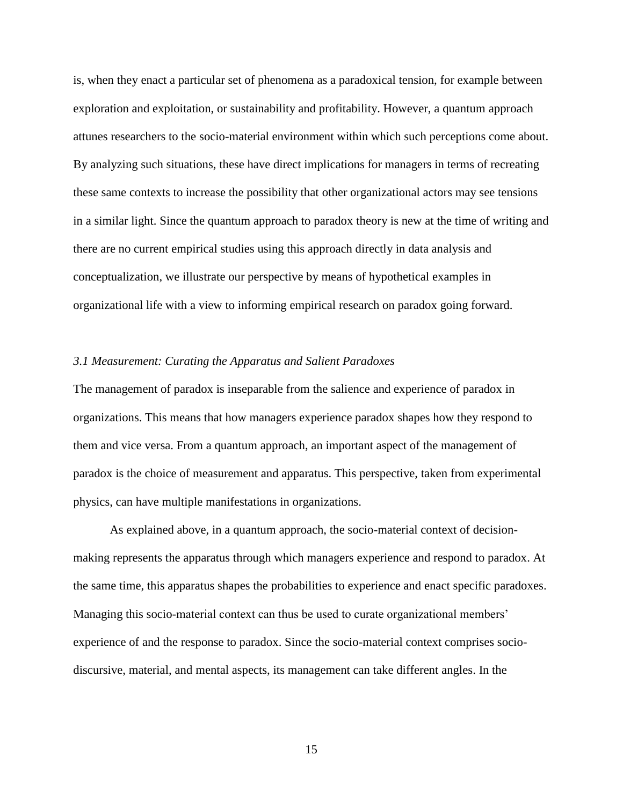is, when they enact a particular set of phenomena as a paradoxical tension, for example between exploration and exploitation, or sustainability and profitability. However, a quantum approach attunes researchers to the socio-material environment within which such perceptions come about. By analyzing such situations, these have direct implications for managers in terms of recreating these same contexts to increase the possibility that other organizational actors may see tensions in a similar light. Since the quantum approach to paradox theory is new at the time of writing and there are no current empirical studies using this approach directly in data analysis and conceptualization, we illustrate our perspective by means of hypothetical examples in organizational life with a view to informing empirical research on paradox going forward.

### *3.1 Measurement: Curating the Apparatus and Salient Paradoxes*

The management of paradox is inseparable from the salience and experience of paradox in organizations. This means that how managers experience paradox shapes how they respond to them and vice versa. From a quantum approach, an important aspect of the management of paradox is the choice of measurement and apparatus. This perspective, taken from experimental physics, can have multiple manifestations in organizations.

As explained above, in a quantum approach, the socio-material context of decisionmaking represents the apparatus through which managers experience and respond to paradox. At the same time, this apparatus shapes the probabilities to experience and enact specific paradoxes. Managing this socio-material context can thus be used to curate organizational members' experience of and the response to paradox. Since the socio-material context comprises sociodiscursive, material, and mental aspects, its management can take different angles. In the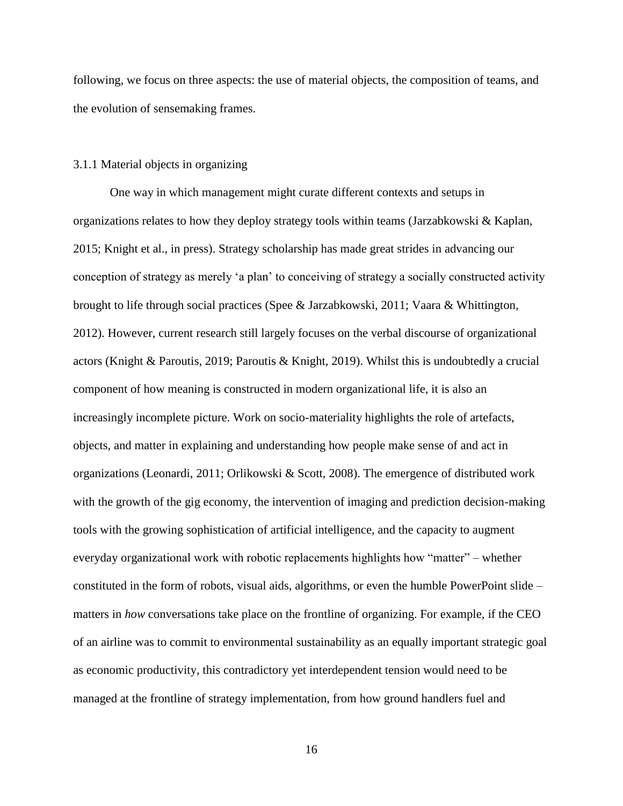following, we focus on three aspects: the use of material objects, the composition of teams, and the evolution of sensemaking frames.

## 3.1.1 Material objects in organizing

One way in which management might curate different contexts and setups in organizations relates to how they deploy strategy tools within teams (Jarzabkowski & Kaplan, 2015; Knight et al., in press). Strategy scholarship has made great strides in advancing our conception of strategy as merely 'a plan' to conceiving of strategy a socially constructed activity brought to life through social practices (Spee & Jarzabkowski, 2011; Vaara & Whittington, 2012). However, current research still largely focuses on the verbal discourse of organizational actors (Knight & Paroutis, 2019; Paroutis & Knight, 2019). Whilst this is undoubtedly a crucial component of how meaning is constructed in modern organizational life, it is also an increasingly incomplete picture. Work on socio-materiality highlights the role of artefacts, objects, and matter in explaining and understanding how people make sense of and act in organizations (Leonardi, 2011; Orlikowski & Scott, 2008). The emergence of distributed work with the growth of the gig economy, the intervention of imaging and prediction decision-making tools with the growing sophistication of artificial intelligence, and the capacity to augment everyday organizational work with robotic replacements highlights how "matter" – whether constituted in the form of robots, visual aids, algorithms, or even the humble PowerPoint slide – matters in *how* conversations take place on the frontline of organizing. For example, if the CEO of an airline was to commit to environmental sustainability as an equally important strategic goal as economic productivity, this contradictory yet interdependent tension would need to be managed at the frontline of strategy implementation, from how ground handlers fuel and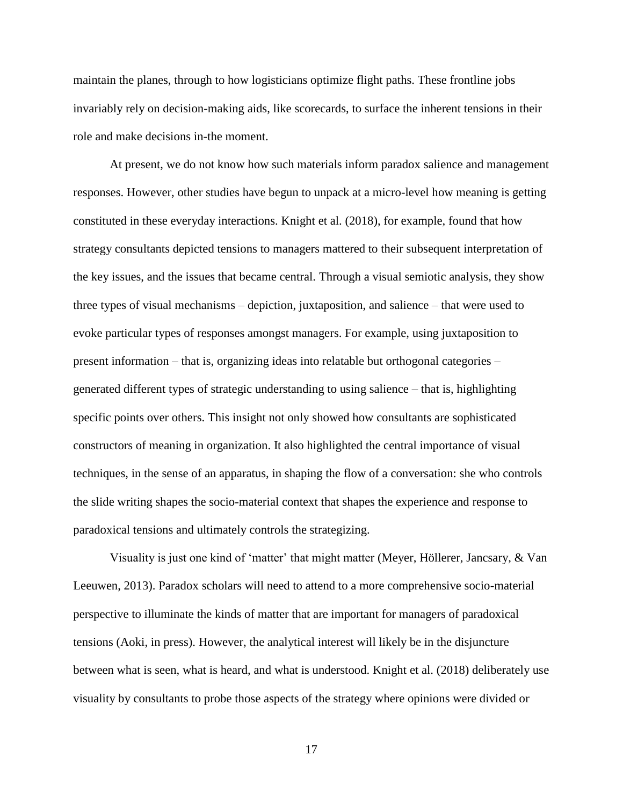maintain the planes, through to how logisticians optimize flight paths. These frontline jobs invariably rely on decision-making aids, like scorecards, to surface the inherent tensions in their role and make decisions in-the moment.

At present, we do not know how such materials inform paradox salience and management responses. However, other studies have begun to unpack at a micro-level how meaning is getting constituted in these everyday interactions. Knight et al. (2018), for example, found that how strategy consultants depicted tensions to managers mattered to their subsequent interpretation of the key issues, and the issues that became central. Through a visual semiotic analysis, they show three types of visual mechanisms – depiction, juxtaposition, and salience – that were used to evoke particular types of responses amongst managers. For example, using juxtaposition to present information – that is, organizing ideas into relatable but orthogonal categories – generated different types of strategic understanding to using salience – that is, highlighting specific points over others. This insight not only showed how consultants are sophisticated constructors of meaning in organization. It also highlighted the central importance of visual techniques, in the sense of an apparatus, in shaping the flow of a conversation: she who controls the slide writing shapes the socio-material context that shapes the experience and response to paradoxical tensions and ultimately controls the strategizing.

Visuality is just one kind of 'matter' that might matter (Meyer, Höllerer, Jancsary, & Van Leeuwen, 2013). Paradox scholars will need to attend to a more comprehensive socio-material perspective to illuminate the kinds of matter that are important for managers of paradoxical tensions (Aoki, in press). However, the analytical interest will likely be in the disjuncture between what is seen, what is heard, and what is understood. Knight et al. (2018) deliberately use visuality by consultants to probe those aspects of the strategy where opinions were divided or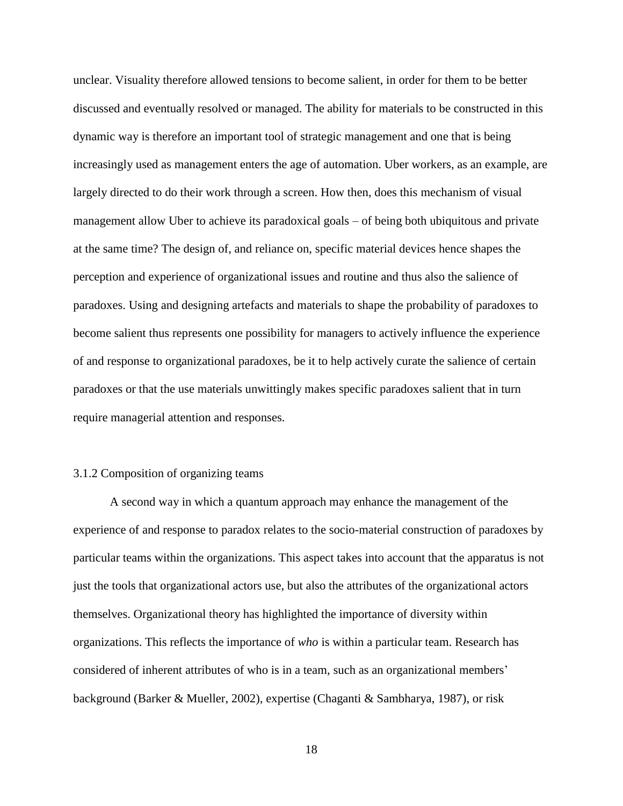unclear. Visuality therefore allowed tensions to become salient, in order for them to be better discussed and eventually resolved or managed. The ability for materials to be constructed in this dynamic way is therefore an important tool of strategic management and one that is being increasingly used as management enters the age of automation. Uber workers, as an example, are largely directed to do their work through a screen. How then, does this mechanism of visual management allow Uber to achieve its paradoxical goals – of being both ubiquitous and private at the same time? The design of, and reliance on, specific material devices hence shapes the perception and experience of organizational issues and routine and thus also the salience of paradoxes. Using and designing artefacts and materials to shape the probability of paradoxes to become salient thus represents one possibility for managers to actively influence the experience of and response to organizational paradoxes, be it to help actively curate the salience of certain paradoxes or that the use materials unwittingly makes specific paradoxes salient that in turn require managerial attention and responses.

# 3.1.2 Composition of organizing teams

A second way in which a quantum approach may enhance the management of the experience of and response to paradox relates to the socio-material construction of paradoxes by particular teams within the organizations. This aspect takes into account that the apparatus is not just the tools that organizational actors use, but also the attributes of the organizational actors themselves. Organizational theory has highlighted the importance of diversity within organizations. This reflects the importance of *who* is within a particular team. Research has considered of inherent attributes of who is in a team, such as an organizational members' background (Barker & Mueller, 2002), expertise (Chaganti & Sambharya, 1987), or risk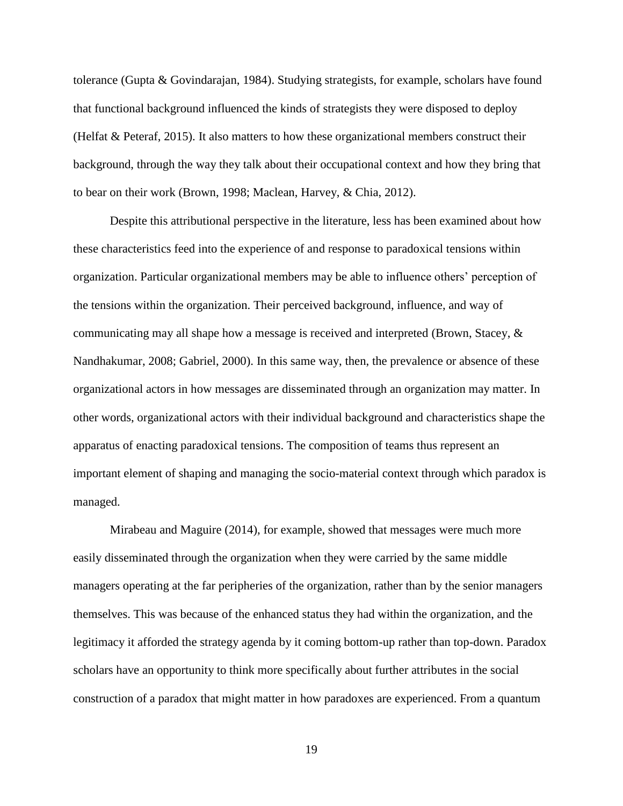tolerance (Gupta & Govindarajan, 1984). Studying strategists, for example, scholars have found that functional background influenced the kinds of strategists they were disposed to deploy (Helfat & Peteraf, 2015). It also matters to how these organizational members construct their background, through the way they talk about their occupational context and how they bring that to bear on their work (Brown, 1998; Maclean, Harvey, & Chia, 2012).

Despite this attributional perspective in the literature, less has been examined about how these characteristics feed into the experience of and response to paradoxical tensions within organization. Particular organizational members may be able to influence others' perception of the tensions within the organization. Their perceived background, influence, and way of communicating may all shape how a message is received and interpreted (Brown, Stacey, & Nandhakumar, 2008; Gabriel, 2000). In this same way, then, the prevalence or absence of these organizational actors in how messages are disseminated through an organization may matter. In other words, organizational actors with their individual background and characteristics shape the apparatus of enacting paradoxical tensions. The composition of teams thus represent an important element of shaping and managing the socio-material context through which paradox is managed.

Mirabeau and Maguire (2014), for example, showed that messages were much more easily disseminated through the organization when they were carried by the same middle managers operating at the far peripheries of the organization, rather than by the senior managers themselves. This was because of the enhanced status they had within the organization, and the legitimacy it afforded the strategy agenda by it coming bottom-up rather than top-down. Paradox scholars have an opportunity to think more specifically about further attributes in the social construction of a paradox that might matter in how paradoxes are experienced. From a quantum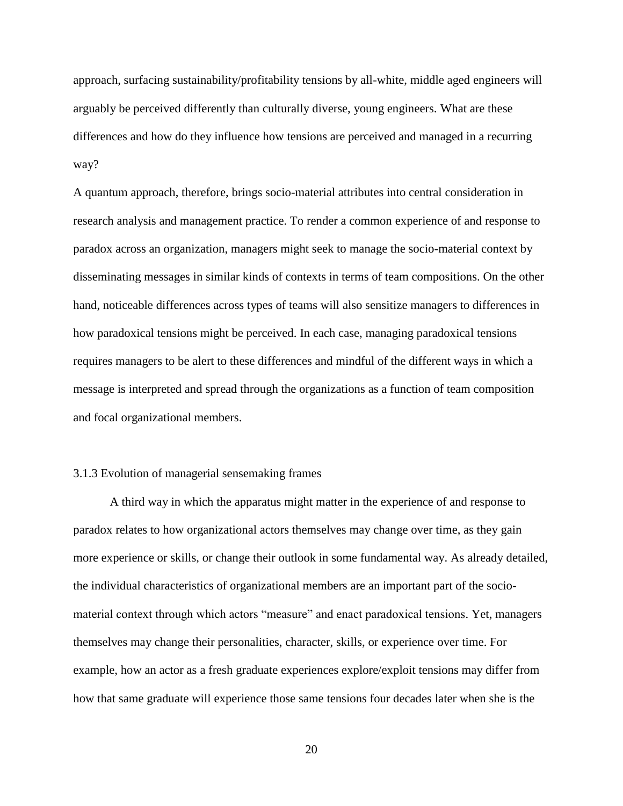approach, surfacing sustainability/profitability tensions by all-white, middle aged engineers will arguably be perceived differently than culturally diverse, young engineers. What are these differences and how do they influence how tensions are perceived and managed in a recurring way?

A quantum approach, therefore, brings socio-material attributes into central consideration in research analysis and management practice. To render a common experience of and response to paradox across an organization, managers might seek to manage the socio-material context by disseminating messages in similar kinds of contexts in terms of team compositions. On the other hand, noticeable differences across types of teams will also sensitize managers to differences in how paradoxical tensions might be perceived. In each case, managing paradoxical tensions requires managers to be alert to these differences and mindful of the different ways in which a message is interpreted and spread through the organizations as a function of team composition and focal organizational members.

# 3.1.3 Evolution of managerial sensemaking frames

A third way in which the apparatus might matter in the experience of and response to paradox relates to how organizational actors themselves may change over time, as they gain more experience or skills, or change their outlook in some fundamental way. As already detailed, the individual characteristics of organizational members are an important part of the sociomaterial context through which actors "measure" and enact paradoxical tensions. Yet, managers themselves may change their personalities, character, skills, or experience over time. For example, how an actor as a fresh graduate experiences explore/exploit tensions may differ from how that same graduate will experience those same tensions four decades later when she is the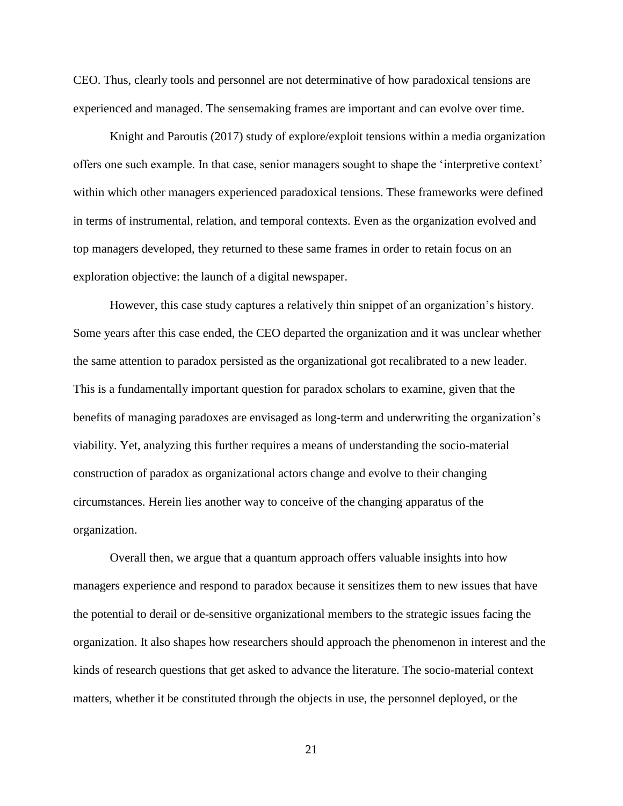CEO. Thus, clearly tools and personnel are not determinative of how paradoxical tensions are experienced and managed. The sensemaking frames are important and can evolve over time.

Knight and Paroutis (2017) study of explore/exploit tensions within a media organization offers one such example. In that case, senior managers sought to shape the 'interpretive context' within which other managers experienced paradoxical tensions. These frameworks were defined in terms of instrumental, relation, and temporal contexts. Even as the organization evolved and top managers developed, they returned to these same frames in order to retain focus on an exploration objective: the launch of a digital newspaper.

However, this case study captures a relatively thin snippet of an organization's history. Some years after this case ended, the CEO departed the organization and it was unclear whether the same attention to paradox persisted as the organizational got recalibrated to a new leader. This is a fundamentally important question for paradox scholars to examine, given that the benefits of managing paradoxes are envisaged as long-term and underwriting the organization's viability. Yet, analyzing this further requires a means of understanding the socio-material construction of paradox as organizational actors change and evolve to their changing circumstances. Herein lies another way to conceive of the changing apparatus of the organization.

Overall then, we argue that a quantum approach offers valuable insights into how managers experience and respond to paradox because it sensitizes them to new issues that have the potential to derail or de-sensitive organizational members to the strategic issues facing the organization. It also shapes how researchers should approach the phenomenon in interest and the kinds of research questions that get asked to advance the literature. The socio-material context matters, whether it be constituted through the objects in use, the personnel deployed, or the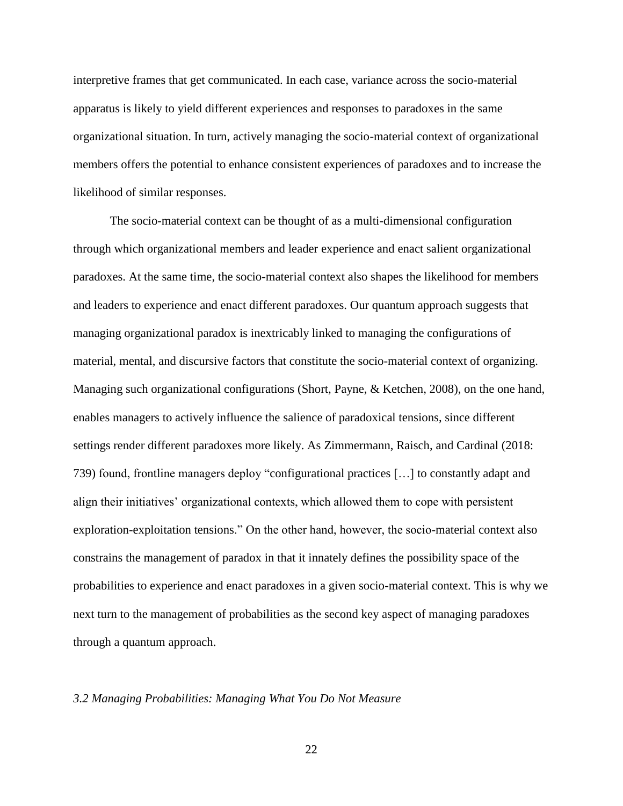interpretive frames that get communicated. In each case, variance across the socio-material apparatus is likely to yield different experiences and responses to paradoxes in the same organizational situation. In turn, actively managing the socio-material context of organizational members offers the potential to enhance consistent experiences of paradoxes and to increase the likelihood of similar responses.

The socio-material context can be thought of as a multi-dimensional configuration through which organizational members and leader experience and enact salient organizational paradoxes. At the same time, the socio-material context also shapes the likelihood for members and leaders to experience and enact different paradoxes. Our quantum approach suggests that managing organizational paradox is inextricably linked to managing the configurations of material, mental, and discursive factors that constitute the socio-material context of organizing. Managing such organizational configurations (Short, Payne, & Ketchen, 2008), on the one hand, enables managers to actively influence the salience of paradoxical tensions, since different settings render different paradoxes more likely. As Zimmermann, Raisch, and Cardinal (2018: 739) found, frontline managers deploy "configurational practices […] to constantly adapt and align their initiatives' organizational contexts, which allowed them to cope with persistent exploration-exploitation tensions." On the other hand, however, the socio-material context also constrains the management of paradox in that it innately defines the possibility space of the probabilities to experience and enact paradoxes in a given socio-material context. This is why we next turn to the management of probabilities as the second key aspect of managing paradoxes through a quantum approach.

#### *3.2 Managing Probabilities: Managing What You Do Not Measure*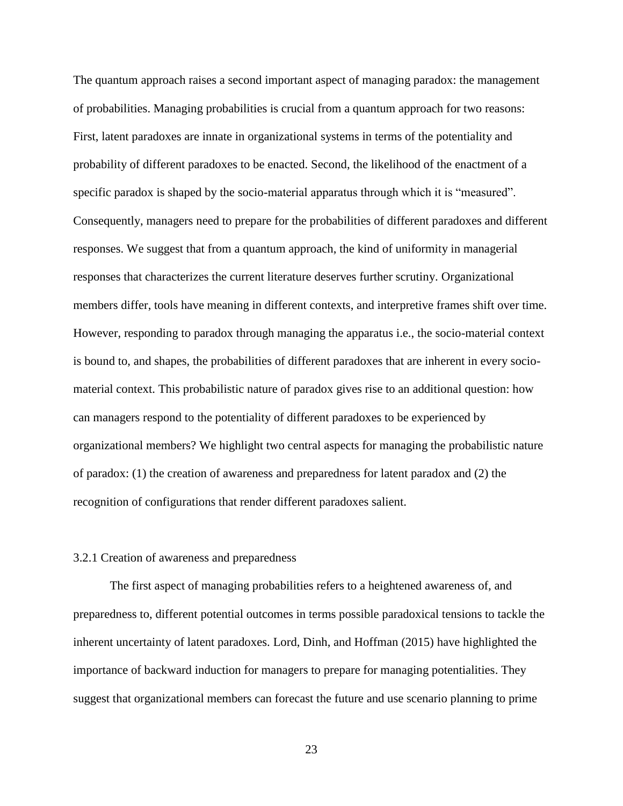The quantum approach raises a second important aspect of managing paradox: the management of probabilities. Managing probabilities is crucial from a quantum approach for two reasons: First, latent paradoxes are innate in organizational systems in terms of the potentiality and probability of different paradoxes to be enacted. Second, the likelihood of the enactment of a specific paradox is shaped by the socio-material apparatus through which it is "measured". Consequently, managers need to prepare for the probabilities of different paradoxes and different responses. We suggest that from a quantum approach, the kind of uniformity in managerial responses that characterizes the current literature deserves further scrutiny. Organizational members differ, tools have meaning in different contexts, and interpretive frames shift over time. However, responding to paradox through managing the apparatus i.e., the socio-material context is bound to, and shapes, the probabilities of different paradoxes that are inherent in every sociomaterial context. This probabilistic nature of paradox gives rise to an additional question: how can managers respond to the potentiality of different paradoxes to be experienced by organizational members? We highlight two central aspects for managing the probabilistic nature of paradox: (1) the creation of awareness and preparedness for latent paradox and (2) the recognition of configurations that render different paradoxes salient.

#### 3.2.1 Creation of awareness and preparedness

The first aspect of managing probabilities refers to a heightened awareness of, and preparedness to, different potential outcomes in terms possible paradoxical tensions to tackle the inherent uncertainty of latent paradoxes. Lord, Dinh, and Hoffman (2015) have highlighted the importance of backward induction for managers to prepare for managing potentialities. They suggest that organizational members can forecast the future and use scenario planning to prime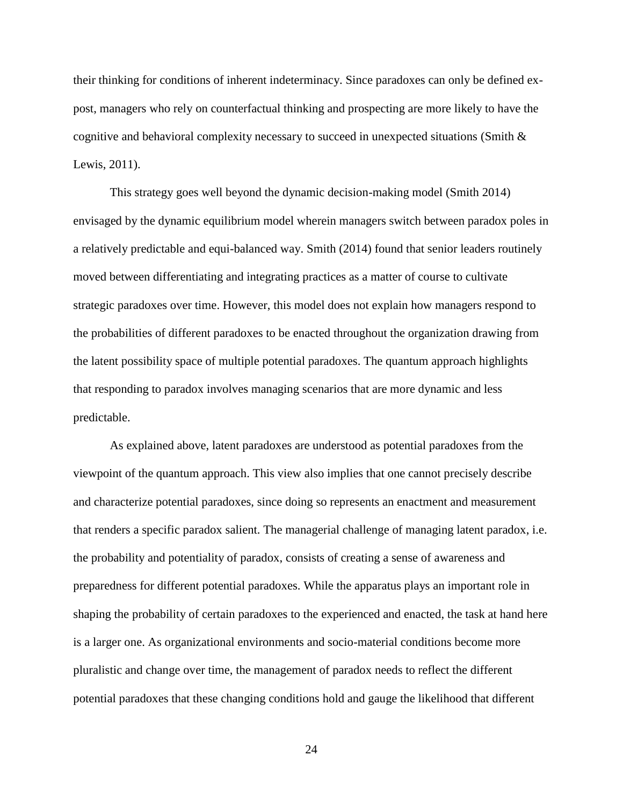their thinking for conditions of inherent indeterminacy. Since paradoxes can only be defined expost, managers who rely on counterfactual thinking and prospecting are more likely to have the cognitive and behavioral complexity necessary to succeed in unexpected situations (Smith & Lewis, 2011).

This strategy goes well beyond the dynamic decision-making model (Smith 2014) envisaged by the dynamic equilibrium model wherein managers switch between paradox poles in a relatively predictable and equi-balanced way. Smith (2014) found that senior leaders routinely moved between differentiating and integrating practices as a matter of course to cultivate strategic paradoxes over time. However, this model does not explain how managers respond to the probabilities of different paradoxes to be enacted throughout the organization drawing from the latent possibility space of multiple potential paradoxes. The quantum approach highlights that responding to paradox involves managing scenarios that are more dynamic and less predictable.

As explained above, latent paradoxes are understood as potential paradoxes from the viewpoint of the quantum approach. This view also implies that one cannot precisely describe and characterize potential paradoxes, since doing so represents an enactment and measurement that renders a specific paradox salient. The managerial challenge of managing latent paradox, i.e. the probability and potentiality of paradox, consists of creating a sense of awareness and preparedness for different potential paradoxes. While the apparatus plays an important role in shaping the probability of certain paradoxes to the experienced and enacted, the task at hand here is a larger one. As organizational environments and socio-material conditions become more pluralistic and change over time, the management of paradox needs to reflect the different potential paradoxes that these changing conditions hold and gauge the likelihood that different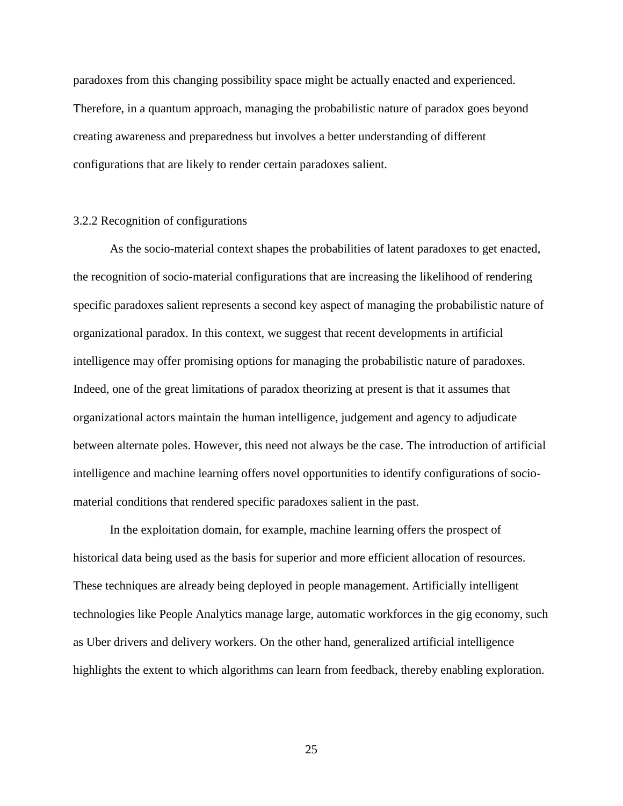paradoxes from this changing possibility space might be actually enacted and experienced. Therefore, in a quantum approach, managing the probabilistic nature of paradox goes beyond creating awareness and preparedness but involves a better understanding of different configurations that are likely to render certain paradoxes salient.

## 3.2.2 Recognition of configurations

As the socio-material context shapes the probabilities of latent paradoxes to get enacted, the recognition of socio-material configurations that are increasing the likelihood of rendering specific paradoxes salient represents a second key aspect of managing the probabilistic nature of organizational paradox. In this context, we suggest that recent developments in artificial intelligence may offer promising options for managing the probabilistic nature of paradoxes. Indeed, one of the great limitations of paradox theorizing at present is that it assumes that organizational actors maintain the human intelligence, judgement and agency to adjudicate between alternate poles. However, this need not always be the case. The introduction of artificial intelligence and machine learning offers novel opportunities to identify configurations of sociomaterial conditions that rendered specific paradoxes salient in the past.

In the exploitation domain, for example, machine learning offers the prospect of historical data being used as the basis for superior and more efficient allocation of resources. These techniques are already being deployed in people management. Artificially intelligent technologies like People Analytics manage large, automatic workforces in the gig economy, such as Uber drivers and delivery workers. On the other hand, generalized artificial intelligence highlights the extent to which algorithms can learn from feedback, thereby enabling exploration.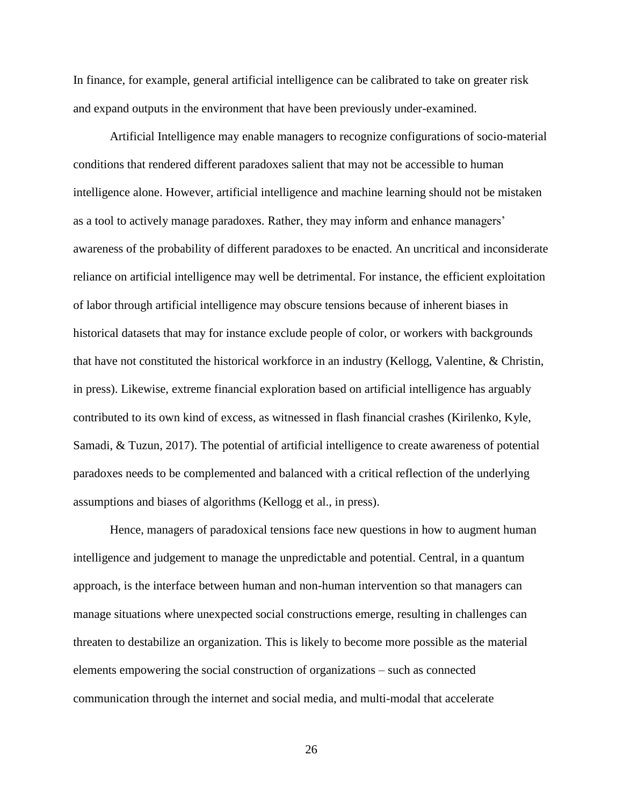In finance, for example, general artificial intelligence can be calibrated to take on greater risk and expand outputs in the environment that have been previously under-examined.

Artificial Intelligence may enable managers to recognize configurations of socio-material conditions that rendered different paradoxes salient that may not be accessible to human intelligence alone. However, artificial intelligence and machine learning should not be mistaken as a tool to actively manage paradoxes. Rather, they may inform and enhance managers' awareness of the probability of different paradoxes to be enacted. An uncritical and inconsiderate reliance on artificial intelligence may well be detrimental. For instance, the efficient exploitation of labor through artificial intelligence may obscure tensions because of inherent biases in historical datasets that may for instance exclude people of color, or workers with backgrounds that have not constituted the historical workforce in an industry (Kellogg, Valentine, & Christin, in press). Likewise, extreme financial exploration based on artificial intelligence has arguably contributed to its own kind of excess, as witnessed in flash financial crashes (Kirilenko, Kyle, Samadi, & Tuzun, 2017). The potential of artificial intelligence to create awareness of potential paradoxes needs to be complemented and balanced with a critical reflection of the underlying assumptions and biases of algorithms (Kellogg et al., in press).

Hence, managers of paradoxical tensions face new questions in how to augment human intelligence and judgement to manage the unpredictable and potential. Central, in a quantum approach, is the interface between human and non-human intervention so that managers can manage situations where unexpected social constructions emerge, resulting in challenges can threaten to destabilize an organization. This is likely to become more possible as the material elements empowering the social construction of organizations – such as connected communication through the internet and social media, and multi-modal that accelerate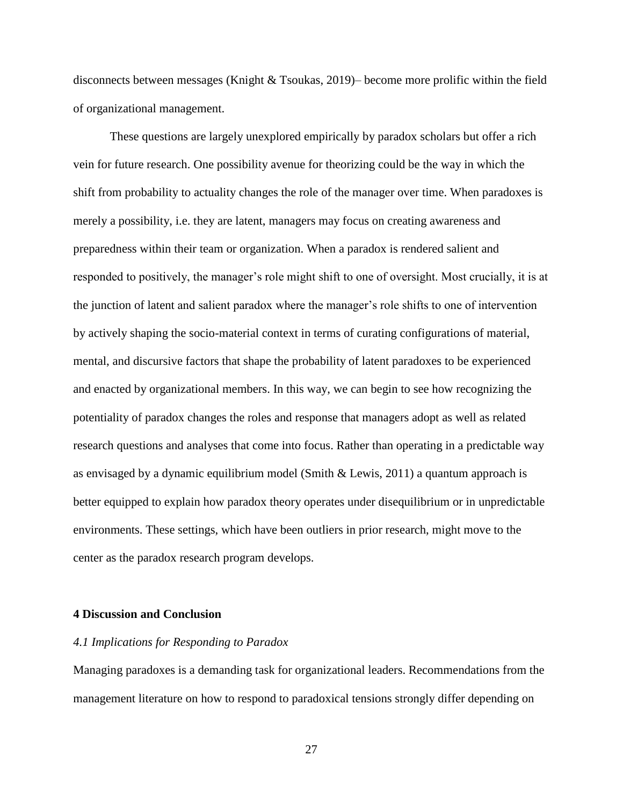disconnects between messages (Knight & Tsoukas, 2019)– become more prolific within the field of organizational management.

These questions are largely unexplored empirically by paradox scholars but offer a rich vein for future research. One possibility avenue for theorizing could be the way in which the shift from probability to actuality changes the role of the manager over time. When paradoxes is merely a possibility, i.e. they are latent, managers may focus on creating awareness and preparedness within their team or organization. When a paradox is rendered salient and responded to positively, the manager's role might shift to one of oversight. Most crucially, it is at the junction of latent and salient paradox where the manager's role shifts to one of intervention by actively shaping the socio-material context in terms of curating configurations of material, mental, and discursive factors that shape the probability of latent paradoxes to be experienced and enacted by organizational members. In this way, we can begin to see how recognizing the potentiality of paradox changes the roles and response that managers adopt as well as related research questions and analyses that come into focus. Rather than operating in a predictable way as envisaged by a dynamic equilibrium model (Smith & Lewis, 2011) a quantum approach is better equipped to explain how paradox theory operates under disequilibrium or in unpredictable environments. These settings, which have been outliers in prior research, might move to the center as the paradox research program develops.

## **4 Discussion and Conclusion**

#### *4.1 Implications for Responding to Paradox*

Managing paradoxes is a demanding task for organizational leaders. Recommendations from the management literature on how to respond to paradoxical tensions strongly differ depending on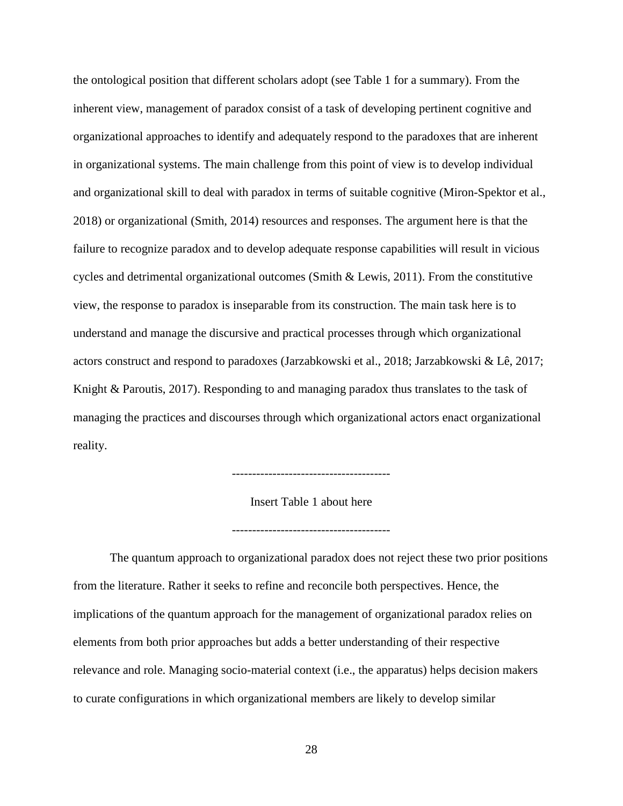the ontological position that different scholars adopt (see Table 1 for a summary). From the inherent view, management of paradox consist of a task of developing pertinent cognitive and organizational approaches to identify and adequately respond to the paradoxes that are inherent in organizational systems. The main challenge from this point of view is to develop individual and organizational skill to deal with paradox in terms of suitable cognitive (Miron-Spektor et al., 2018) or organizational (Smith, 2014) resources and responses. The argument here is that the failure to recognize paradox and to develop adequate response capabilities will result in vicious cycles and detrimental organizational outcomes (Smith & Lewis, 2011). From the constitutive view, the response to paradox is inseparable from its construction. The main task here is to understand and manage the discursive and practical processes through which organizational actors construct and respond to paradoxes (Jarzabkowski et al., 2018; Jarzabkowski & Lê, 2017; Knight & Paroutis, 2017). Responding to and managing paradox thus translates to the task of managing the practices and discourses through which organizational actors enact organizational reality.

---------------------------------------

Insert Table 1 about here

---------------------------------------

The quantum approach to organizational paradox does not reject these two prior positions from the literature. Rather it seeks to refine and reconcile both perspectives. Hence, the implications of the quantum approach for the management of organizational paradox relies on elements from both prior approaches but adds a better understanding of their respective relevance and role. Managing socio-material context (i.e., the apparatus) helps decision makers to curate configurations in which organizational members are likely to develop similar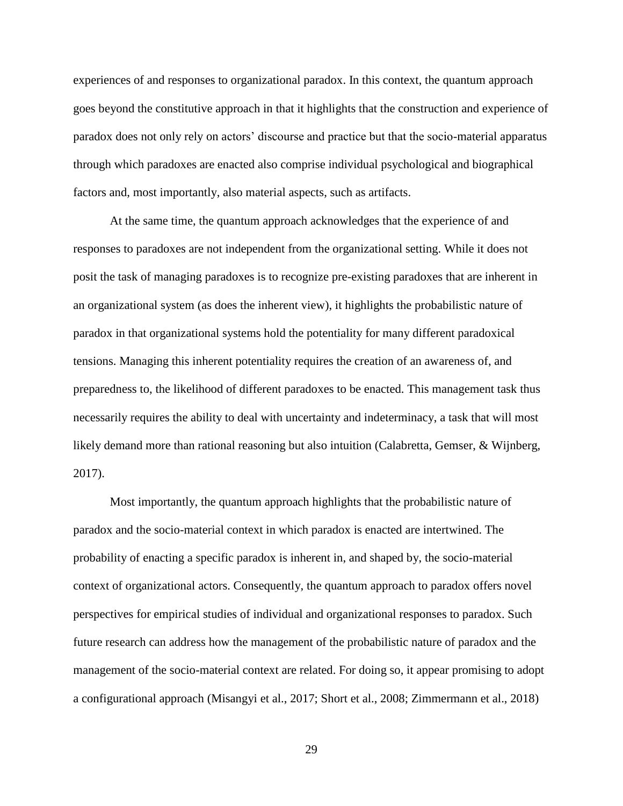experiences of and responses to organizational paradox. In this context, the quantum approach goes beyond the constitutive approach in that it highlights that the construction and experience of paradox does not only rely on actors' discourse and practice but that the socio-material apparatus through which paradoxes are enacted also comprise individual psychological and biographical factors and, most importantly, also material aspects, such as artifacts.

At the same time, the quantum approach acknowledges that the experience of and responses to paradoxes are not independent from the organizational setting. While it does not posit the task of managing paradoxes is to recognize pre-existing paradoxes that are inherent in an organizational system (as does the inherent view), it highlights the probabilistic nature of paradox in that organizational systems hold the potentiality for many different paradoxical tensions. Managing this inherent potentiality requires the creation of an awareness of, and preparedness to, the likelihood of different paradoxes to be enacted. This management task thus necessarily requires the ability to deal with uncertainty and indeterminacy, a task that will most likely demand more than rational reasoning but also intuition (Calabretta, Gemser, & Wijnberg, 2017).

Most importantly, the quantum approach highlights that the probabilistic nature of paradox and the socio-material context in which paradox is enacted are intertwined. The probability of enacting a specific paradox is inherent in, and shaped by, the socio-material context of organizational actors. Consequently, the quantum approach to paradox offers novel perspectives for empirical studies of individual and organizational responses to paradox. Such future research can address how the management of the probabilistic nature of paradox and the management of the socio-material context are related. For doing so, it appear promising to adopt a configurational approach (Misangyi et al., 2017; Short et al., 2008; Zimmermann et al., 2018)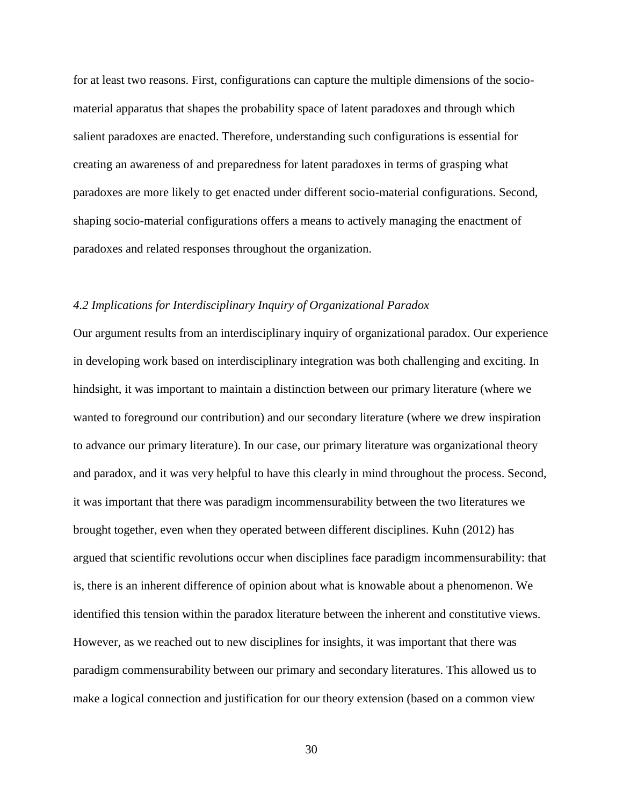for at least two reasons. First, configurations can capture the multiple dimensions of the sociomaterial apparatus that shapes the probability space of latent paradoxes and through which salient paradoxes are enacted. Therefore, understanding such configurations is essential for creating an awareness of and preparedness for latent paradoxes in terms of grasping what paradoxes are more likely to get enacted under different socio-material configurations. Second, shaping socio-material configurations offers a means to actively managing the enactment of paradoxes and related responses throughout the organization.

## *4.2 Implications for Interdisciplinary Inquiry of Organizational Paradox*

Our argument results from an interdisciplinary inquiry of organizational paradox. Our experience in developing work based on interdisciplinary integration was both challenging and exciting. In hindsight, it was important to maintain a distinction between our primary literature (where we wanted to foreground our contribution) and our secondary literature (where we drew inspiration to advance our primary literature). In our case, our primary literature was organizational theory and paradox, and it was very helpful to have this clearly in mind throughout the process. Second, it was important that there was paradigm incommensurability between the two literatures we brought together, even when they operated between different disciplines. Kuhn (2012) has argued that scientific revolutions occur when disciplines face paradigm incommensurability: that is, there is an inherent difference of opinion about what is knowable about a phenomenon. We identified this tension within the paradox literature between the inherent and constitutive views. However, as we reached out to new disciplines for insights, it was important that there was paradigm commensurability between our primary and secondary literatures. This allowed us to make a logical connection and justification for our theory extension (based on a common view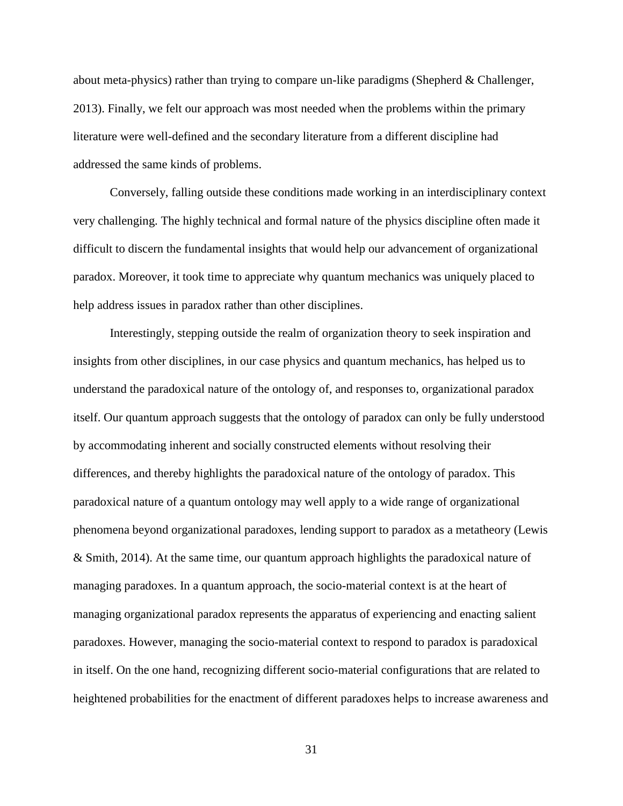about meta-physics) rather than trying to compare un-like paradigms (Shepherd & Challenger, 2013). Finally, we felt our approach was most needed when the problems within the primary literature were well-defined and the secondary literature from a different discipline had addressed the same kinds of problems.

Conversely, falling outside these conditions made working in an interdisciplinary context very challenging. The highly technical and formal nature of the physics discipline often made it difficult to discern the fundamental insights that would help our advancement of organizational paradox. Moreover, it took time to appreciate why quantum mechanics was uniquely placed to help address issues in paradox rather than other disciplines.

Interestingly, stepping outside the realm of organization theory to seek inspiration and insights from other disciplines, in our case physics and quantum mechanics, has helped us to understand the paradoxical nature of the ontology of, and responses to, organizational paradox itself. Our quantum approach suggests that the ontology of paradox can only be fully understood by accommodating inherent and socially constructed elements without resolving their differences, and thereby highlights the paradoxical nature of the ontology of paradox. This paradoxical nature of a quantum ontology may well apply to a wide range of organizational phenomena beyond organizational paradoxes, lending support to paradox as a metatheory (Lewis & Smith, 2014). At the same time, our quantum approach highlights the paradoxical nature of managing paradoxes. In a quantum approach, the socio-material context is at the heart of managing organizational paradox represents the apparatus of experiencing and enacting salient paradoxes. However, managing the socio-material context to respond to paradox is paradoxical in itself. On the one hand, recognizing different socio-material configurations that are related to heightened probabilities for the enactment of different paradoxes helps to increase awareness and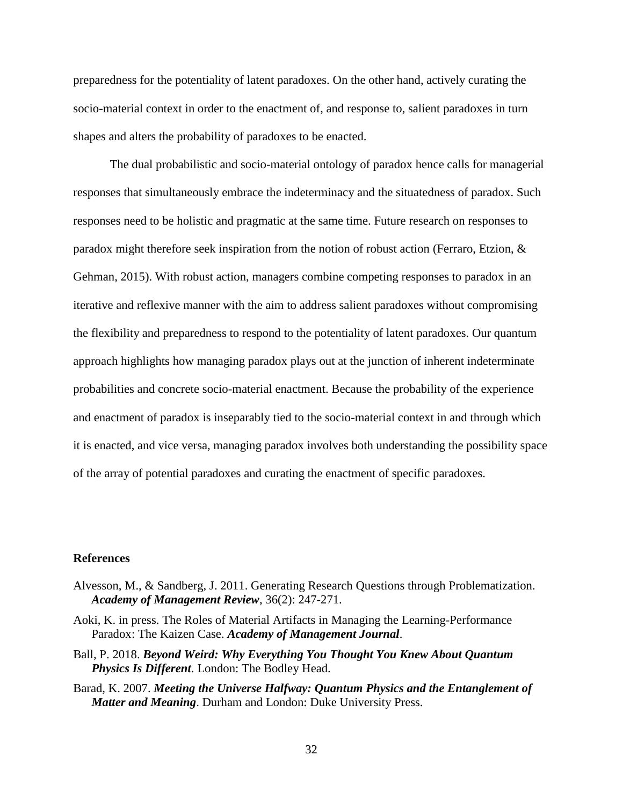preparedness for the potentiality of latent paradoxes. On the other hand, actively curating the socio-material context in order to the enactment of, and response to, salient paradoxes in turn shapes and alters the probability of paradoxes to be enacted.

The dual probabilistic and socio-material ontology of paradox hence calls for managerial responses that simultaneously embrace the indeterminacy and the situatedness of paradox. Such responses need to be holistic and pragmatic at the same time. Future research on responses to paradox might therefore seek inspiration from the notion of robust action (Ferraro, Etzion, & Gehman, 2015). With robust action, managers combine competing responses to paradox in an iterative and reflexive manner with the aim to address salient paradoxes without compromising the flexibility and preparedness to respond to the potentiality of latent paradoxes. Our quantum approach highlights how managing paradox plays out at the junction of inherent indeterminate probabilities and concrete socio-material enactment. Because the probability of the experience and enactment of paradox is inseparably tied to the socio-material context in and through which it is enacted, and vice versa, managing paradox involves both understanding the possibility space of the array of potential paradoxes and curating the enactment of specific paradoxes.

#### **References**

- Alvesson, M., & Sandberg, J. 2011. Generating Research Questions through Problematization. *Academy of Management Review*, 36(2): 247-271.
- Aoki, K. in press. The Roles of Material Artifacts in Managing the Learning-Performance Paradox: The Kaizen Case. *Academy of Management Journal*.
- Ball, P. 2018. *Beyond Weird: Why Everything You Thought You Knew About Quantum Physics Is Different*. London: The Bodley Head.
- Barad, K. 2007. *Meeting the Universe Halfway: Quantum Physics and the Entanglement of Matter and Meaning*. Durham and London: Duke University Press.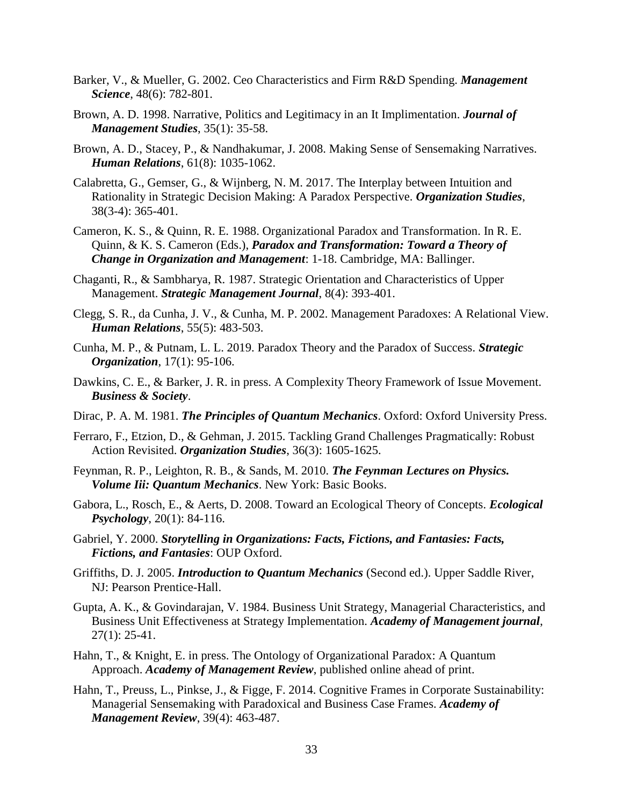- Barker, V., & Mueller, G. 2002. Ceo Characteristics and Firm R&D Spending. *Management Science*, 48(6): 782-801.
- Brown, A. D. 1998. Narrative, Politics and Legitimacy in an It Implimentation. *Journal of Management Studies*, 35(1): 35-58.
- Brown, A. D., Stacey, P., & Nandhakumar, J. 2008. Making Sense of Sensemaking Narratives. *Human Relations*, 61(8): 1035-1062.
- Calabretta, G., Gemser, G., & Wijnberg, N. M. 2017. The Interplay between Intuition and Rationality in Strategic Decision Making: A Paradox Perspective. *Organization Studies*, 38(3-4): 365-401.
- Cameron, K. S., & Quinn, R. E. 1988. Organizational Paradox and Transformation. In R. E. Quinn, & K. S. Cameron (Eds.), *Paradox and Transformation: Toward a Theory of Change in Organization and Management*: 1-18. Cambridge, MA: Ballinger.
- Chaganti, R., & Sambharya, R. 1987. Strategic Orientation and Characteristics of Upper Management. *Strategic Management Journal*, 8(4): 393-401.
- Clegg, S. R., da Cunha, J. V., & Cunha, M. P. 2002. Management Paradoxes: A Relational View. *Human Relations*, 55(5): 483-503.
- Cunha, M. P., & Putnam, L. L. 2019. Paradox Theory and the Paradox of Success. *Strategic Organization*, 17(1): 95-106.
- Dawkins, C. E., & Barker, J. R. in press. A Complexity Theory Framework of Issue Movement. *Business & Society*.
- Dirac, P. A. M. 1981. *The Principles of Quantum Mechanics*. Oxford: Oxford University Press.
- Ferraro, F., Etzion, D., & Gehman, J. 2015. Tackling Grand Challenges Pragmatically: Robust Action Revisited. *Organization Studies*, 36(3): 1605-1625.
- Feynman, R. P., Leighton, R. B., & Sands, M. 2010. *The Feynman Lectures on Physics. Volume Iii: Quantum Mechanics*. New York: Basic Books.
- Gabora, L., Rosch, E., & Aerts, D. 2008. Toward an Ecological Theory of Concepts. *Ecological Psychology*, 20(1): 84-116.
- Gabriel, Y. 2000. *Storytelling in Organizations: Facts, Fictions, and Fantasies: Facts, Fictions, and Fantasies*: OUP Oxford.
- Griffiths, D. J. 2005. *Introduction to Quantum Mechanics* (Second ed.). Upper Saddle River, NJ: Pearson Prentice-Hall.
- Gupta, A. K., & Govindarajan, V. 1984. Business Unit Strategy, Managerial Characteristics, and Business Unit Effectiveness at Strategy Implementation. *Academy of Management journal*, 27(1): 25-41.
- Hahn, T., & Knight, E. in press. The Ontology of Organizational Paradox: A Quantum Approach. *Academy of Management Review*, published online ahead of print.
- Hahn, T., Preuss, L., Pinkse, J., & Figge, F. 2014. Cognitive Frames in Corporate Sustainability: Managerial Sensemaking with Paradoxical and Business Case Frames. *Academy of Management Review*, 39(4): 463-487.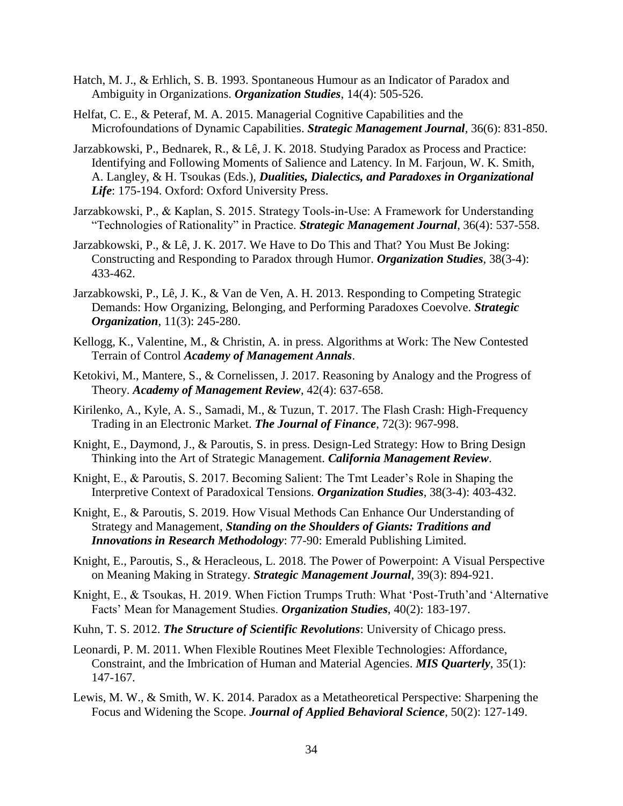- Hatch, M. J., & Erhlich, S. B. 1993. Spontaneous Humour as an Indicator of Paradox and Ambiguity in Organizations. *Organization Studies*, 14(4): 505-526.
- Helfat, C. E., & Peteraf, M. A. 2015. Managerial Cognitive Capabilities and the Microfoundations of Dynamic Capabilities. *Strategic Management Journal*, 36(6): 831-850.
- Jarzabkowski, P., Bednarek, R., & Lê, J. K. 2018. Studying Paradox as Process and Practice: Identifying and Following Moments of Salience and Latency. In M. Farjoun, W. K. Smith, A. Langley, & H. Tsoukas (Eds.), *Dualities, Dialectics, and Paradoxes in Organizational Life*: 175-194. Oxford: Oxford University Press.
- Jarzabkowski, P., & Kaplan, S. 2015. Strategy Tools‐in‐Use: A Framework for Understanding "Technologies of Rationality" in Practice. *Strategic Management Journal*, 36(4): 537-558.
- Jarzabkowski, P., & Lê, J. K. 2017. We Have to Do This and That? You Must Be Joking: Constructing and Responding to Paradox through Humor. *Organization Studies*, 38(3-4): 433-462.
- Jarzabkowski, P., Lê, J. K., & Van de Ven, A. H. 2013. Responding to Competing Strategic Demands: How Organizing, Belonging, and Performing Paradoxes Coevolve. *Strategic Organization*, 11(3): 245-280.
- Kellogg, K., Valentine, M., & Christin, A. in press. Algorithms at Work: The New Contested Terrain of Control *Academy of Management Annals*.
- Ketokivi, M., Mantere, S., & Cornelissen, J. 2017. Reasoning by Analogy and the Progress of Theory. *Academy of Management Review*, 42(4): 637-658.
- Kirilenko, A., Kyle, A. S., Samadi, M., & Tuzun, T. 2017. The Flash Crash: High-Frequency Trading in an Electronic Market. *The Journal of Finance*, 72(3): 967-998.
- Knight, E., Daymond, J., & Paroutis, S. in press. Design-Led Strategy: How to Bring Design Thinking into the Art of Strategic Management. *California Management Review*.
- Knight, E., & Paroutis, S. 2017. Becoming Salient: The Tmt Leader's Role in Shaping the Interpretive Context of Paradoxical Tensions. *Organization Studies*, 38(3-4): 403-432.
- Knight, E., & Paroutis, S. 2019. How Visual Methods Can Enhance Our Understanding of Strategy and Management, *Standing on the Shoulders of Giants: Traditions and Innovations in Research Methodology*: 77-90: Emerald Publishing Limited.
- Knight, E., Paroutis, S., & Heracleous, L. 2018. The Power of Powerpoint: A Visual Perspective on Meaning Making in Strategy. *Strategic Management Journal*, 39(3): 894-921.
- Knight, E., & Tsoukas, H. 2019. When Fiction Trumps Truth: What 'Post-Truth'and 'Alternative Facts' Mean for Management Studies. *Organization Studies*, 40(2): 183-197.
- Kuhn, T. S. 2012. *The Structure of Scientific Revolutions*: University of Chicago press.
- Leonardi, P. M. 2011. When Flexible Routines Meet Flexible Technologies: Affordance, Constraint, and the Imbrication of Human and Material Agencies. *MIS Quarterly*, 35(1): 147-167.
- Lewis, M. W., & Smith, W. K. 2014. Paradox as a Metatheoretical Perspective: Sharpening the Focus and Widening the Scope. *Journal of Applied Behavioral Science*, 50(2): 127-149.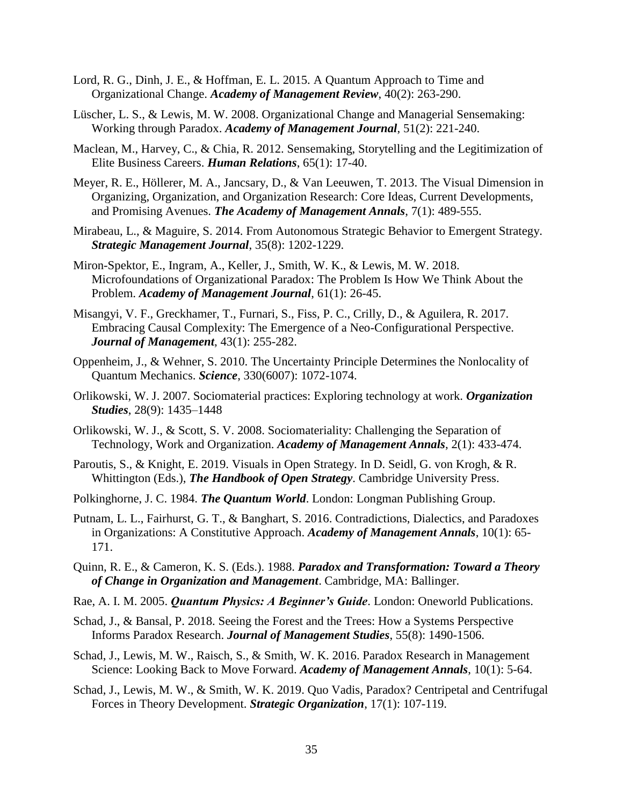- Lord, R. G., Dinh, J. E., & Hoffman, E. L. 2015. A Quantum Approach to Time and Organizational Change. *Academy of Management Review*, 40(2): 263-290.
- Lüscher, L. S., & Lewis, M. W. 2008. Organizational Change and Managerial Sensemaking: Working through Paradox. *Academy of Management Journal*, 51(2): 221-240.
- Maclean, M., Harvey, C., & Chia, R. 2012. Sensemaking, Storytelling and the Legitimization of Elite Business Careers. *Human Relations*, 65(1): 17-40.
- Meyer, R. E., Höllerer, M. A., Jancsary, D., & Van Leeuwen, T. 2013. The Visual Dimension in Organizing, Organization, and Organization Research: Core Ideas, Current Developments, and Promising Avenues. *The Academy of Management Annals*, 7(1): 489-555.
- Mirabeau, L., & Maguire, S. 2014. From Autonomous Strategic Behavior to Emergent Strategy. *Strategic Management Journal*, 35(8): 1202-1229.
- Miron-Spektor, E., Ingram, A., Keller, J., Smith, W. K., & Lewis, M. W. 2018. Microfoundations of Organizational Paradox: The Problem Is How We Think About the Problem. *Academy of Management Journal*, 61(1): 26-45.
- Misangyi, V. F., Greckhamer, T., Furnari, S., Fiss, P. C., Crilly, D., & Aguilera, R. 2017. Embracing Causal Complexity: The Emergence of a Neo-Configurational Perspective. *Journal of Management*, 43(1): 255-282.
- Oppenheim, J., & Wehner, S. 2010. The Uncertainty Principle Determines the Nonlocality of Quantum Mechanics. *Science*, 330(6007): 1072-1074.
- Orlikowski, W. J. 2007. Sociomaterial practices: Exploring technology at work. *Organization Studies*, 28(9): 1435–1448
- Orlikowski, W. J., & Scott, S. V. 2008. Sociomateriality: Challenging the Separation of Technology, Work and Organization. *Academy of Management Annals*, 2(1): 433-474.
- Paroutis, S., & Knight, E. 2019. Visuals in Open Strategy. In D. Seidl, G. von Krogh, & R. Whittington (Eds.), *The Handbook of Open Strategy*. Cambridge University Press.
- Polkinghorne, J. C. 1984. *The Quantum World*. London: Longman Publishing Group.
- Putnam, L. L., Fairhurst, G. T., & Banghart, S. 2016. Contradictions, Dialectics, and Paradoxes in Organizations: A Constitutive Approach. *Academy of Management Annals*, 10(1): 65- 171.
- Quinn, R. E., & Cameron, K. S. (Eds.). 1988. *Paradox and Transformation: Toward a Theory of Change in Organization and Management*. Cambridge, MA: Ballinger.
- Rae, A. I. M. 2005. *Quantum Physics: A Beginner's Guide*. London: Oneworld Publications.
- Schad, J., & Bansal, P. 2018. Seeing the Forest and the Trees: How a Systems Perspective Informs Paradox Research. *Journal of Management Studies*, 55(8): 1490-1506.
- Schad, J., Lewis, M. W., Raisch, S., & Smith, W. K. 2016. Paradox Research in Management Science: Looking Back to Move Forward. *Academy of Management Annals*, 10(1): 5-64.
- Schad, J., Lewis, M. W., & Smith, W. K. 2019. Quo Vadis, Paradox? Centripetal and Centrifugal Forces in Theory Development. *Strategic Organization*, 17(1): 107-119.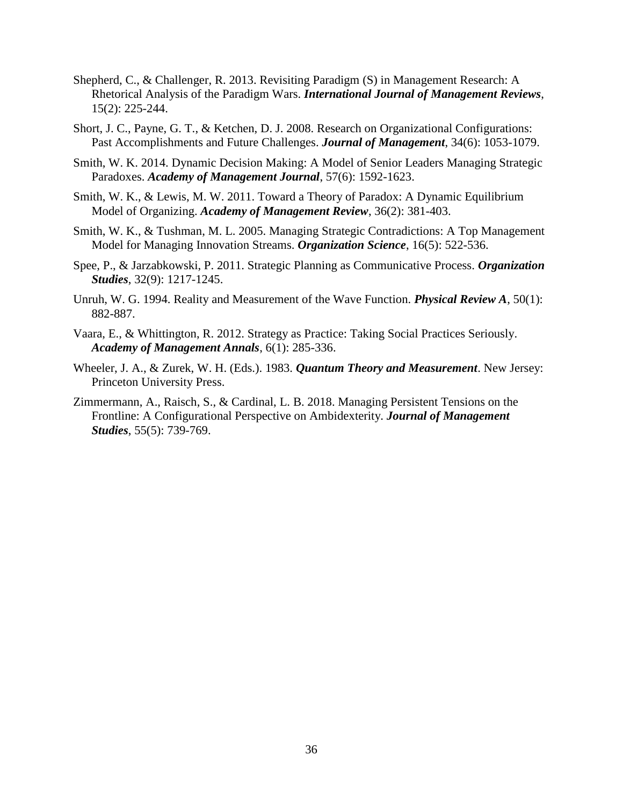- Shepherd, C., & Challenger, R. 2013. Revisiting Paradigm (S) in Management Research: A Rhetorical Analysis of the Paradigm Wars. *International Journal of Management Reviews*, 15(2): 225-244.
- Short, J. C., Payne, G. T., & Ketchen, D. J. 2008. Research on Organizational Configurations: Past Accomplishments and Future Challenges. *Journal of Management*, 34(6): 1053-1079.
- Smith, W. K. 2014. Dynamic Decision Making: A Model of Senior Leaders Managing Strategic Paradoxes. *Academy of Management Journal*, 57(6): 1592-1623.
- Smith, W. K., & Lewis, M. W. 2011. Toward a Theory of Paradox: A Dynamic Equilibrium Model of Organizing. *Academy of Management Review*, 36(2): 381-403.
- Smith, W. K., & Tushman, M. L. 2005. Managing Strategic Contradictions: A Top Management Model for Managing Innovation Streams. *Organization Science*, 16(5): 522-536.
- Spee, P., & Jarzabkowski, P. 2011. Strategic Planning as Communicative Process. *Organization Studies*, 32(9): 1217-1245.
- Unruh, W. G. 1994. Reality and Measurement of the Wave Function. *Physical Review A*, 50(1): 882-887.
- Vaara, E., & Whittington, R. 2012. Strategy as Practice: Taking Social Practices Seriously. *Academy of Management Annals*, 6(1): 285-336.
- Wheeler, J. A., & Zurek, W. H. (Eds.). 1983. *Quantum Theory and Measurement*. New Jersey: Princeton University Press.
- Zimmermann, A., Raisch, S., & Cardinal, L. B. 2018. Managing Persistent Tensions on the Frontline: A Configurational Perspective on Ambidexterity. *Journal of Management Studies*, 55(5): 739-769.